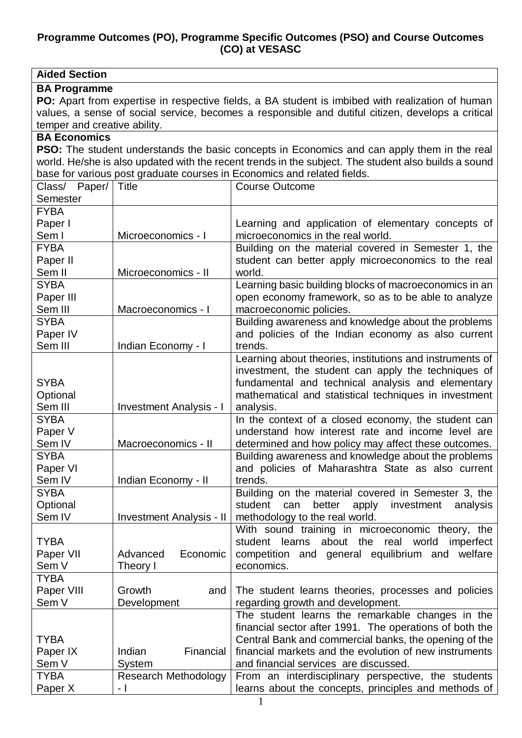#### **Programme Outcomes (PO), Programme Specific Outcomes (PSO) and Course Outcomes (CO) at VESASC**

| <b>Aided Section</b>         |                                 |                                                                                                      |  |
|------------------------------|---------------------------------|------------------------------------------------------------------------------------------------------|--|
| <b>BA Programme</b>          |                                 |                                                                                                      |  |
|                              |                                 | PO: Apart from expertise in respective fields, a BA student is imbibed with realization of human     |  |
|                              |                                 | values, a sense of social service, becomes a responsible and dutiful citizen, develops a critical    |  |
| temper and creative ability. |                                 |                                                                                                      |  |
| <b>BA Economics</b>          |                                 |                                                                                                      |  |
|                              |                                 | <b>PSO:</b> The student understands the basic concepts in Economics and can apply them in the real   |  |
|                              |                                 | world. He/she is also updated with the recent trends in the subject. The student also builds a sound |  |
|                              |                                 | base for various post graduate courses in Economics and related fields.                              |  |
| Class/ Paper/                | Title                           | <b>Course Outcome</b>                                                                                |  |
| Semester                     |                                 |                                                                                                      |  |
| <b>FYBA</b>                  |                                 |                                                                                                      |  |
| Paper I                      |                                 | Learning and application of elementary concepts of                                                   |  |
| Sem I                        | Microeconomics - I              | microeconomics in the real world.                                                                    |  |
| <b>FYBA</b>                  |                                 | Building on the material covered in Semester 1, the                                                  |  |
| Paper II                     |                                 | student can better apply microeconomics to the real                                                  |  |
| Sem II                       | Microeconomics - II             | world.                                                                                               |  |
| <b>SYBA</b>                  |                                 | Learning basic building blocks of macroeconomics in an                                               |  |
| Paper III                    |                                 | open economy framework, so as to be able to analyze                                                  |  |
| Sem III                      | Macroeconomics - I              |                                                                                                      |  |
| <b>SYBA</b>                  |                                 | macroeconomic policies.                                                                              |  |
|                              |                                 | Building awareness and knowledge about the problems                                                  |  |
| Paper IV<br>Sem III          |                                 | and policies of the Indian economy as also current<br>trends.                                        |  |
|                              | Indian Economy - I              |                                                                                                      |  |
|                              |                                 | Learning about theories, institutions and instruments of                                             |  |
|                              |                                 | investment, the student can apply the techniques of                                                  |  |
| <b>SYBA</b>                  |                                 | fundamental and technical analysis and elementary                                                    |  |
| Optional                     |                                 | mathematical and statistical techniques in investment                                                |  |
| Sem III                      | <b>Investment Analysis - I</b>  | analysis.                                                                                            |  |
| <b>SYBA</b>                  |                                 | In the context of a closed economy, the student can                                                  |  |
| Paper V                      |                                 | understand how interest rate and income level are                                                    |  |
| Sem IV                       | Macroeconomics - II             | determined and how policy may affect these outcomes.                                                 |  |
| <b>SYBA</b>                  |                                 | Building awareness and knowledge about the problems                                                  |  |
| Paper VI                     |                                 | and policies of Maharashtra State as also current                                                    |  |
| Sem IV                       | Indian Economy - II             | trends.                                                                                              |  |
| <b>SYBA</b>                  |                                 | Building on the material covered in Semester 3, the                                                  |  |
| Optional                     |                                 | better<br>apply<br>investment<br>student<br>can<br>analysis                                          |  |
| Sem IV                       | <b>Investment Analysis - II</b> | methodology to the real world.                                                                       |  |
|                              |                                 | With sound training in microeconomic theory, the                                                     |  |
| <b>TYBA</b>                  |                                 | student learns about the real world<br>imperfect                                                     |  |
| Paper VII                    | Advanced<br>Economic            | competition and general equilibrium and<br>welfare                                                   |  |
| Sem V                        | Theory I                        | economics.                                                                                           |  |
| <b>TYBA</b>                  |                                 |                                                                                                      |  |
| Paper VIII                   | Growth<br>and                   | The student learns theories, processes and policies                                                  |  |
| Sem V                        | Development                     | regarding growth and development.                                                                    |  |
|                              |                                 | The student learns the remarkable changes in the                                                     |  |
|                              |                                 | financial sector after 1991. The operations of both the                                              |  |
| <b>TYBA</b>                  |                                 | Central Bank and commercial banks, the opening of the                                                |  |
| Paper IX                     | Indian<br>Financial             | financial markets and the evolution of new instruments                                               |  |
| Sem V                        | System                          | and financial services are discussed.                                                                |  |
| <b>TYBA</b>                  | <b>Research Methodology</b>     | From an interdisciplinary perspective, the students                                                  |  |
| Paper X                      | $-1$                            | learns about the concepts, principles and methods of                                                 |  |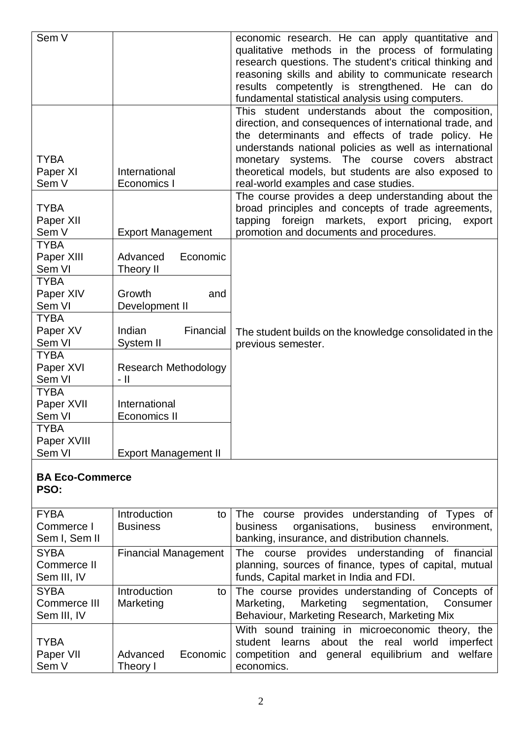| Sem V                                                           |                                                    | economic research. He can apply quantitative and<br>qualitative methods in the process of formulating<br>research questions. The student's critical thinking and<br>reasoning skills and ability to communicate research<br>results competently is strengthened. He can do<br>fundamental statistical analysis using computers. |
|-----------------------------------------------------------------|----------------------------------------------------|---------------------------------------------------------------------------------------------------------------------------------------------------------------------------------------------------------------------------------------------------------------------------------------------------------------------------------|
| <b>TYBA</b>                                                     |                                                    | This student understands about the composition,<br>direction, and consequences of international trade, and<br>the determinants and effects of trade policy. He<br>understands national policies as well as international<br>monetary systems. The course covers<br>abstract                                                     |
| Paper XI<br>Sem V                                               | International<br>Economics I                       | theoretical models, but students are also exposed to<br>real-world examples and case studies.                                                                                                                                                                                                                                   |
| <b>TYBA</b><br>Paper XII<br>Sem V                               | <b>Export Management</b>                           | The course provides a deep understanding about the<br>broad principles and concepts of trade agreements,<br>tapping foreign markets, export<br>pricing,<br>export<br>promotion and documents and procedures.                                                                                                                    |
| <b>TYBA</b><br>Paper XIII<br>Sem VI<br><b>TYBA</b><br>Paper XIV | Advanced<br>Economic<br>Theory II<br>Growth<br>and |                                                                                                                                                                                                                                                                                                                                 |
| Sem VI<br><b>TYBA</b><br>Paper XV<br>Sem VI<br><b>TYBA</b>      | Development II<br>Financial<br>Indian<br>System II | The student builds on the knowledge consolidated in the<br>previous semester.                                                                                                                                                                                                                                                   |
| Paper XVI<br>Sem VI                                             | <b>Research Methodology</b><br>- 11                |                                                                                                                                                                                                                                                                                                                                 |
| <b>TYBA</b><br>Paper XVII<br>Sem VI                             | International<br><b>Economics II</b>               |                                                                                                                                                                                                                                                                                                                                 |
| <b>TYBA</b><br>Paper XVIII<br>Sem VI                            | <b>Export Management II</b>                        |                                                                                                                                                                                                                                                                                                                                 |

## **BA Eco-Commerce**

**PSO: FYBA** Commerce I Sem I, Sem II Introduction to **Business** The course provides understanding of Types of business organisations, business environment, banking, insurance, and distribution channels. **SYBA** Commerce II Sem III, IV Financial Management The course provides understanding of financial planning, sources of finance, types of capital, mutual funds, Capital market in India and FDI. **SYBA** Commerce III Sem III, IV Introduction to Marketing The course provides understanding of Concepts of Marketing, Marketing segmentation, Consumer Behaviour, Marketing Research, Marketing Mix **TYBA** Paper VII Sem V Advanced Economic Theory I With sound training in microeconomic theory, the student learns about the real world imperfect competition and general equilibrium and welfare economics.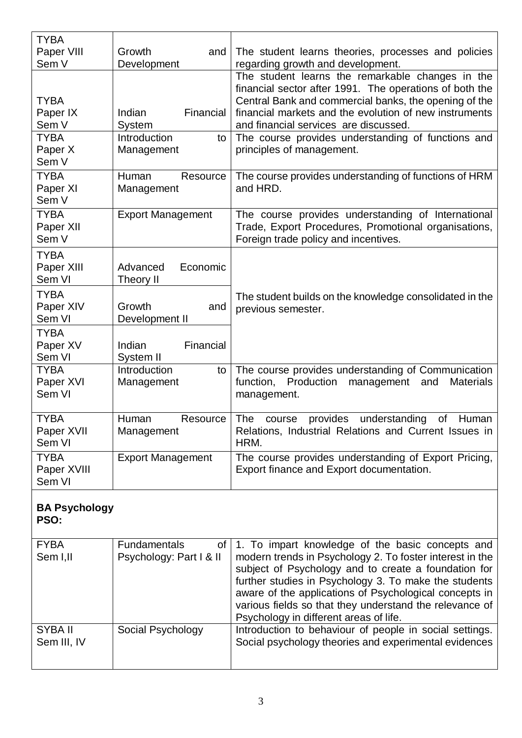| <b>TYBA</b><br>Paper VIII<br>Sem V                                  | Growth<br>and<br>Development                                      | The student learns theories, processes and policies<br>regarding growth and development.                                                                                                                                                                                                                                                                   |
|---------------------------------------------------------------------|-------------------------------------------------------------------|------------------------------------------------------------------------------------------------------------------------------------------------------------------------------------------------------------------------------------------------------------------------------------------------------------------------------------------------------------|
| <b>TYBA</b><br>Paper IX<br>Sem V<br><b>TYBA</b><br>Paper X<br>Sem V | Financial<br>Indian<br>System<br>Introduction<br>to<br>Management | The student learns the remarkable changes in the<br>financial sector after 1991. The operations of both the<br>Central Bank and commercial banks, the opening of the<br>financial markets and the evolution of new instruments<br>and financial services are discussed.<br>The course provides understanding of functions and<br>principles of management. |
| <b>TYBA</b><br>Paper XI<br>Sem V                                    | Resource<br>Human<br>Management                                   | The course provides understanding of functions of HRM<br>and HRD.                                                                                                                                                                                                                                                                                          |
| <b>TYBA</b><br>Paper XII<br>Sem V                                   | <b>Export Management</b>                                          | The course provides understanding of International<br>Trade, Export Procedures, Promotional organisations,<br>Foreign trade policy and incentives.                                                                                                                                                                                                         |
| <b>TYBA</b><br>Paper XIII<br>Sem VI                                 | Economic<br>Advanced<br>Theory II                                 |                                                                                                                                                                                                                                                                                                                                                            |
| <b>TYBA</b><br>Paper XIV<br>Sem VI                                  | Growth<br>and<br>Development II                                   | The student builds on the knowledge consolidated in the<br>previous semester.                                                                                                                                                                                                                                                                              |
| <b>TYBA</b><br>Paper XV<br>Sem VI                                   | Financial<br>Indian<br>System II                                  |                                                                                                                                                                                                                                                                                                                                                            |
| <b>TYBA</b><br>Paper XVI<br>Sem VI                                  | Introduction<br>to<br>Management                                  | The course provides understanding of Communication<br>function, Production<br>management<br><b>Materials</b><br>and<br>management.                                                                                                                                                                                                                         |
| <b>TYBA</b><br>Paper XVII<br>Sem VI                                 | Human<br>Resource<br>Management                                   | <b>The</b><br>provides<br>understanding<br>οf<br>Human<br>course<br>Relations, Industrial Relations and Current Issues in<br>HRM.                                                                                                                                                                                                                          |
| <b>TYBA</b><br>Paper XVIII<br>Sem VI                                | <b>Export Management</b>                                          | The course provides understanding of Export Pricing,<br>Export finance and Export documentation.                                                                                                                                                                                                                                                           |

#### **BA Psychology PSO:**

| <b>FYBA</b>            | <b>Fundamentals</b>     | of   1. To impart knowledge of the basic concepts and                                                                                                                                                                                                                                                                                    |
|------------------------|-------------------------|------------------------------------------------------------------------------------------------------------------------------------------------------------------------------------------------------------------------------------------------------------------------------------------------------------------------------------------|
| Sem I,II               | Psychology: Part I & II | modern trends in Psychology 2. To foster interest in the<br>subject of Psychology and to create a foundation for<br>further studies in Psychology 3. To make the students<br>aware of the applications of Psychological concepts in<br>various fields so that they understand the relevance of<br>Psychology in different areas of life. |
| SYBA II<br>Sem III, IV | Social Psychology       | Introduction to behaviour of people in social settings.<br>Social psychology theories and experimental evidences                                                                                                                                                                                                                         |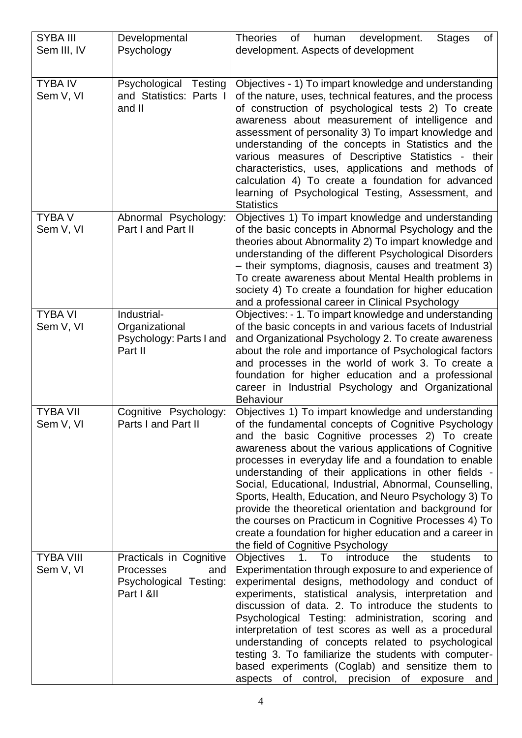| <b>SYBA III</b>  | Developmental                                     | <b>Theories</b><br>of<br>human development.<br>of<br><b>Stages</b>                                          |
|------------------|---------------------------------------------------|-------------------------------------------------------------------------------------------------------------|
| Sem III, IV      | Psychology                                        | development. Aspects of development                                                                         |
|                  |                                                   |                                                                                                             |
|                  |                                                   |                                                                                                             |
| <b>TYBA IV</b>   | Psychological Testing                             | Objectives - 1) To impart knowledge and understanding                                                       |
| Sem V, VI        | and Statistics: Parts I                           | of the nature, uses, technical features, and the process                                                    |
|                  | and II                                            | of construction of psychological tests 2) To create                                                         |
|                  |                                                   | awareness about measurement of intelligence and                                                             |
|                  |                                                   | assessment of personality 3) To impart knowledge and                                                        |
|                  |                                                   | understanding of the concepts in Statistics and the                                                         |
|                  |                                                   | various measures of Descriptive Statistics - their                                                          |
|                  |                                                   | characteristics, uses, applications and methods of                                                          |
|                  |                                                   | calculation 4) To create a foundation for advanced                                                          |
|                  |                                                   | learning of Psychological Testing, Assessment, and                                                          |
|                  |                                                   | <b>Statistics</b>                                                                                           |
| <b>TYBA V</b>    | Abnormal Psychology:                              | Objectives 1) To impart knowledge and understanding                                                         |
| Sem V, VI        | Part I and Part II                                | of the basic concepts in Abnormal Psychology and the                                                        |
|                  |                                                   | theories about Abnormality 2) To impart knowledge and                                                       |
|                  |                                                   | understanding of the different Psychological Disorders                                                      |
|                  |                                                   | - their symptoms, diagnosis, causes and treatment 3)<br>To create awareness about Mental Health problems in |
|                  |                                                   | society 4) To create a foundation for higher education                                                      |
|                  |                                                   | and a professional career in Clinical Psychology                                                            |
| <b>TYBA VI</b>   | Industrial-                                       | Objectives: - 1. To impart knowledge and understanding                                                      |
| Sem V, VI        | Organizational                                    | of the basic concepts in and various facets of Industrial                                                   |
|                  | Psychology: Parts I and                           | and Organizational Psychology 2. To create awareness                                                        |
|                  | Part II                                           | about the role and importance of Psychological factors                                                      |
|                  |                                                   | and processes in the world of work 3. To create a                                                           |
|                  |                                                   | foundation for higher education and a professional                                                          |
|                  |                                                   | career in Industrial Psychology and Organizational                                                          |
|                  |                                                   | <b>Behaviour</b>                                                                                            |
| <b>TYBA VII</b>  | Cognitive Psychology:                             | Objectives 1) To impart knowledge and understanding                                                         |
| Sem V, VI        | Parts I and Part II                               | of the fundamental concepts of Cognitive Psychology                                                         |
|                  |                                                   | and the basic Cognitive processes 2) To create                                                              |
|                  |                                                   | awareness about the various applications of Cognitive                                                       |
|                  |                                                   | processes in everyday life and a foundation to enable                                                       |
|                  |                                                   | understanding of their applications in other fields -                                                       |
|                  |                                                   | Social, Educational, Industrial, Abnormal, Counselling,                                                     |
|                  |                                                   | Sports, Health, Education, and Neuro Psychology 3) To                                                       |
|                  |                                                   | provide the theoretical orientation and background for                                                      |
|                  |                                                   | the courses on Practicum in Cognitive Processes 4) To                                                       |
|                  |                                                   | create a foundation for higher education and a career in                                                    |
|                  |                                                   | the field of Cognitive Psychology                                                                           |
| <b>TYBA VIII</b> | Practicals in Cognitive                           | introduce<br>Objectives<br>1.<br>To<br>students<br>the<br>to                                                |
| Sem V, VI        | <b>Processes</b><br>and<br>Psychological Testing: | Experimentation through exposure to and experience of                                                       |
|                  | Part I &II                                        | experimental designs, methodology and conduct of<br>experiments, statistical analysis, interpretation and   |
|                  |                                                   | discussion of data. 2. To introduce the students to                                                         |
|                  |                                                   | Psychological Testing: administration, scoring and                                                          |
|                  |                                                   | interpretation of test scores as well as a procedural                                                       |
|                  |                                                   | understanding of concepts related to psychological                                                          |
|                  |                                                   | testing 3. To familiarize the students with computer-                                                       |
|                  |                                                   | based experiments (Coglab) and sensitize them to                                                            |
|                  |                                                   | aspects of control, precision of exposure<br>and                                                            |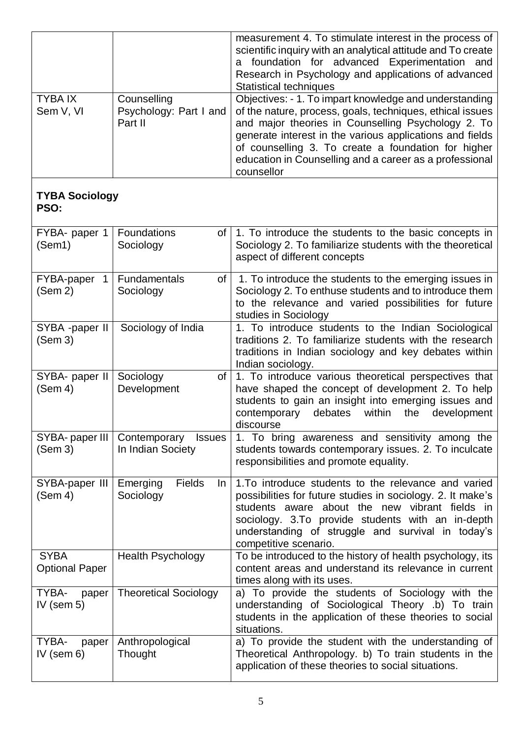|                                      |                                                    | measurement 4. To stimulate interest in the process of<br>scientific inquiry with an analytical attitude and To create<br>foundation for advanced Experimentation and<br>a<br>Research in Psychology and applications of advanced<br><b>Statistical techniques</b>                                                                                                    |
|--------------------------------------|----------------------------------------------------|-----------------------------------------------------------------------------------------------------------------------------------------------------------------------------------------------------------------------------------------------------------------------------------------------------------------------------------------------------------------------|
| <b>TYBAIX</b><br>Sem V, VI           | Counselling<br>Psychology: Part I and<br>Part II   | Objectives: - 1. To impart knowledge and understanding<br>of the nature, process, goals, techniques, ethical issues<br>and major theories in Counselling Psychology 2. To<br>generate interest in the various applications and fields<br>of counselling 3. To create a foundation for higher<br>education in Counselling and a career as a professional<br>counsellor |
| <b>TYBA Sociology</b><br>PSO:        |                                                    |                                                                                                                                                                                                                                                                                                                                                                       |
| FYBA- paper 1<br>(Sem1)              | <b>Foundations</b><br>Sociology                    | of   1. To introduce the students to the basic concepts in<br>Sociology 2. To familiarize students with the theoretical<br>aspect of different concepts                                                                                                                                                                                                               |
| FYBA-paper<br>$\mathbf 1$<br>(Sem 2) | Fundamentals<br>of I<br>Sociology                  | 1. To introduce the students to the emerging issues in<br>Sociology 2. To enthuse students and to introduce them<br>to the relevance and varied possibilities for future<br>studies in Sociology                                                                                                                                                                      |
| SYBA -paper II<br>(Sem 3)            | Sociology of India                                 | 1. To introduce students to the Indian Sociological<br>traditions 2. To familiarize students with the research<br>traditions in Indian sociology and key debates within<br>Indian sociology.                                                                                                                                                                          |
| SYBA- paper II<br>(Sem 4)            | Sociology<br>of<br>Development                     | 1. To introduce various theoretical perspectives that<br>have shaped the concept of development 2. To help<br>students to gain an insight into emerging issues and<br>within<br>contemporary<br>the<br>development<br>debates<br>discourse                                                                                                                            |
| SYBA- paper III<br>(Sem 3)           | Contemporary<br><b>Issues</b><br>In Indian Society | 1. To bring awareness and sensitivity among the<br>students towards contemporary issues. 2. To inculcate<br>responsibilities and promote equality.                                                                                                                                                                                                                    |
| SYBA-paper III<br>(Sem 4)            | Fields<br>Emerging<br>In In<br>Sociology           | 1. To introduce students to the relevance and varied<br>possibilities for future studies in sociology. 2. It make's<br>students aware about the new vibrant fields in<br>sociology. 3. To provide students with an in-depth<br>understanding of struggle and survival in today's<br>competitive scenario.                                                             |
| <b>SYBA</b><br><b>Optional Paper</b> | <b>Health Psychology</b>                           | To be introduced to the history of health psychology, its<br>content areas and understand its relevance in current<br>times along with its uses.                                                                                                                                                                                                                      |
| TYBA-<br>paper<br>IV (sem $5$ )      | <b>Theoretical Sociology</b>                       | a) To provide the students of Sociology with the<br>understanding of Sociological Theory .b) To train<br>students in the application of these theories to social<br>situations.                                                                                                                                                                                       |
| TYBA-<br>paper<br>IV (sem $6$ )      | Anthropological<br>Thought                         | a) To provide the student with the understanding of<br>Theoretical Anthropology. b) To train students in the<br>application of these theories to social situations.                                                                                                                                                                                                   |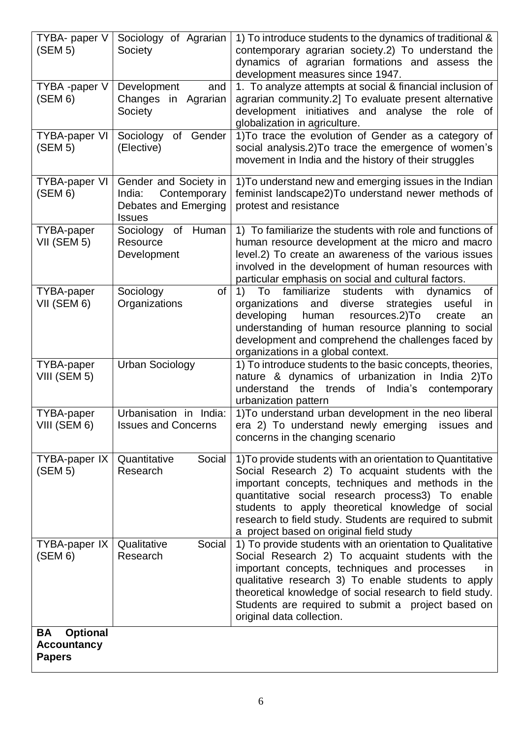| TYBA- paper V<br>(SEM 5)                                     | Sociology of Agrarian<br>Society                                                         | 1) To introduce students to the dynamics of traditional &<br>contemporary agrarian society.2) To understand the<br>dynamics of agrarian formations and assess the<br>development measures since 1947.                                                                                                                                                                               |
|--------------------------------------------------------------|------------------------------------------------------------------------------------------|-------------------------------------------------------------------------------------------------------------------------------------------------------------------------------------------------------------------------------------------------------------------------------------------------------------------------------------------------------------------------------------|
| TYBA -paper V<br>(SEM 6)                                     | Development<br>and<br>Changes<br>in Agrarian<br>Society                                  | 1. To analyze attempts at social & financial inclusion of<br>agrarian community.2] To evaluate present alternative<br>development initiatives and analyse the role of<br>globalization in agriculture.                                                                                                                                                                              |
| <b>TYBA-paper VI</b><br>(SEM 5)                              | of Gender<br>Sociology<br>(Elective)                                                     | 1) To trace the evolution of Gender as a category of<br>social analysis.2) To trace the emergence of women's<br>movement in India and the history of their struggles                                                                                                                                                                                                                |
| <b>TYBA-paper VI</b><br>(SEM 6)                              | Gender and Society in<br>India:<br>Contemporary<br>Debates and Emerging<br><b>Issues</b> | 1) To understand new and emerging issues in the Indian<br>feminist landscape2)To understand newer methods of<br>protest and resistance                                                                                                                                                                                                                                              |
| <b>TYBA-paper</b><br>VII (SEM 5)                             | Sociology of Human<br>Resource<br>Development                                            | 1) To familiarize the students with role and functions of<br>human resource development at the micro and macro<br>level.2) To create an awareness of the various issues<br>involved in the development of human resources with<br>particular emphasis on social and cultural factors.                                                                                               |
| <b>TYBA-paper</b><br>VII (SEM 6)                             | of<br>Sociology<br>Organizations                                                         | 1) To familiarize students with dynamics<br>of<br>diverse strategies<br>organizations<br>and<br>useful<br>in<br>human<br>developing<br>resources.2)To<br>create<br>an<br>understanding of human resource planning to social<br>development and comprehend the challenges faced by<br>organizations in a global context.                                                             |
| TYBA-paper<br>VIII (SEM 5)                                   | <b>Urban Sociology</b>                                                                   | 1) To introduce students to the basic concepts, theories,<br>nature & dynamics of urbanization in India 2)To<br>the trends<br>of India's<br>contemporary<br>understand<br>urbanization pattern                                                                                                                                                                                      |
| TYBA-paper<br>VIII (SEM 6)                                   | Urbanisation in India:<br><b>Issues and Concerns</b>                                     | 1) To understand urban development in the neo liberal<br>era 2) To understand newly emerging issues and<br>concerns in the changing scenario                                                                                                                                                                                                                                        |
| TYBA-paper IX<br>(SEM 5)                                     | Quantitative<br>Social<br>Research                                                       | 1) To provide students with an orientation to Quantitative<br>Social Research 2) To acquaint students with the<br>important concepts, techniques and methods in the<br>quantitative social research process3) To enable<br>students to apply theoretical knowledge of social<br>research to field study. Students are required to submit<br>a project based on original field study |
| TYBA-paper IX<br>(SEM 6)                                     | Qualitative<br>Social<br>Research                                                        | 1) To provide students with an orientation to Qualitative<br>Social Research 2) To acquaint students with the<br>important concepts, techniques and processes<br>in.<br>qualitative research 3) To enable students to apply<br>theoretical knowledge of social research to field study.<br>Students are required to submit a project based on<br>original data collection.          |
| <b>Optional</b><br>BA<br><b>Accountancy</b><br><b>Papers</b> |                                                                                          |                                                                                                                                                                                                                                                                                                                                                                                     |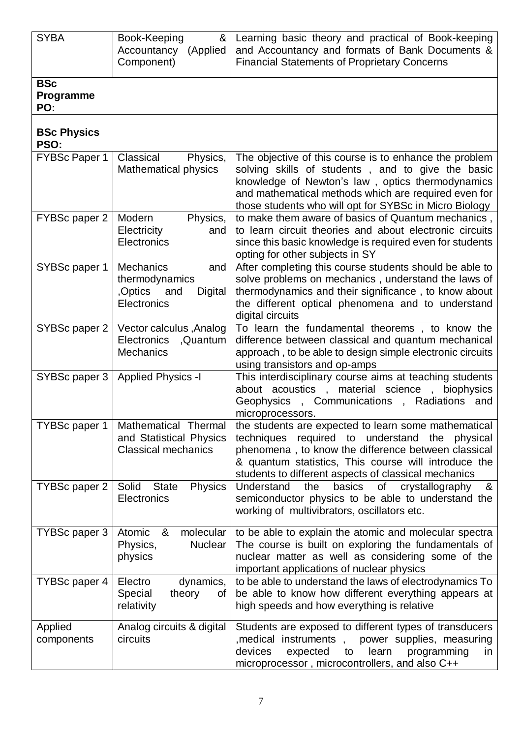| <b>SYBA</b>                    | Book-Keeping<br>&<br>Accountancy (Applied<br>Component)                                       | Learning basic theory and practical of Book-keeping<br>and Accountancy and formats of Bank Documents &<br><b>Financial Statements of Proprietary Concerns</b>                                                                                                                          |  |
|--------------------------------|-----------------------------------------------------------------------------------------------|----------------------------------------------------------------------------------------------------------------------------------------------------------------------------------------------------------------------------------------------------------------------------------------|--|
| <b>BSc</b><br>Programme<br>PO: |                                                                                               |                                                                                                                                                                                                                                                                                        |  |
| <b>BSc Physics</b><br>PSO:     |                                                                                               |                                                                                                                                                                                                                                                                                        |  |
| <b>FYBSc Paper 1</b>           | Classical<br>Physics,<br><b>Mathematical physics</b>                                          | The objective of this course is to enhance the problem<br>solving skills of students, and to give the basic<br>knowledge of Newton's law, optics thermodynamics<br>and mathematical methods which are required even for<br>those students who will opt for SYBSc in Micro Biology      |  |
| FYBSc paper 2                  | Modern<br>Physics,<br>Electricity<br>and<br>Electronics                                       | to make them aware of basics of Quantum mechanics,<br>to learn circuit theories and about electronic circuits<br>since this basic knowledge is required even for students<br>opting for other subjects in SY                                                                           |  |
| SYBSc paper 1                  | <b>Mechanics</b><br>and<br>thermodynamics<br>,Optics<br>Digital<br>and<br>Electronics         | After completing this course students should be able to<br>solve problems on mechanics, understand the laws of<br>thermodynamics and their significance, to know about<br>the different optical phenomena and to understand<br>digital circuits                                        |  |
| SYBSc paper 2                  | Vector calculus, Analog<br>Electronics , Quantum<br><b>Mechanics</b>                          | To learn the fundamental theorems, to know the<br>difference between classical and quantum mechanical<br>approach, to be able to design simple electronic circuits<br>using transistors and op-amps                                                                                    |  |
| SYBSc paper 3                  | <b>Applied Physics -I</b>                                                                     | This interdisciplinary course aims at teaching students<br>about acoustics, material science,<br>biophysics<br>Geophysics,<br>Communications,<br>Radiations and<br>microprocessors.                                                                                                    |  |
|                                | TYBSc paper 1   Mathematical Thermal<br>and Statistical Physics<br><b>Classical mechanics</b> | the students are expected to learn some mathematical<br>techniques required to<br>understand<br>the<br>physical<br>phenomena, to know the difference between classical<br>& quantum statistics, This course will introduce the<br>students to different aspects of classical mechanics |  |
| TYBSc paper 2                  | Solid<br><b>State</b><br><b>Physics</b><br>Electronics                                        | Understand<br>the<br>basics<br>of<br>crystallography<br>&<br>semiconductor physics to be able to understand the<br>working of multivibrators, oscillators etc.                                                                                                                         |  |
| TYBSc paper 3                  | Atomic<br>molecular<br>&<br>Physics,<br><b>Nuclear</b><br>physics                             | to be able to explain the atomic and molecular spectra<br>The course is built on exploring the fundamentals of<br>nuclear matter as well as considering some of the<br>important applications of nuclear physics                                                                       |  |
| TYBSc paper 4                  | Electro<br>dynamics,<br>Special<br>theory<br>οf<br>relativity                                 | to be able to understand the laws of electrodynamics To<br>be able to know how different everything appears at<br>high speeds and how everything is relative                                                                                                                           |  |
| Applied<br>components          | Analog circuits & digital<br>circuits                                                         | Students are exposed to different types of transducers<br>medical instruments, power supplies, measuring<br>devices<br>expected<br>learn<br>programming<br>to<br>in<br>microprocessor, microcontrollers, and also C++                                                                  |  |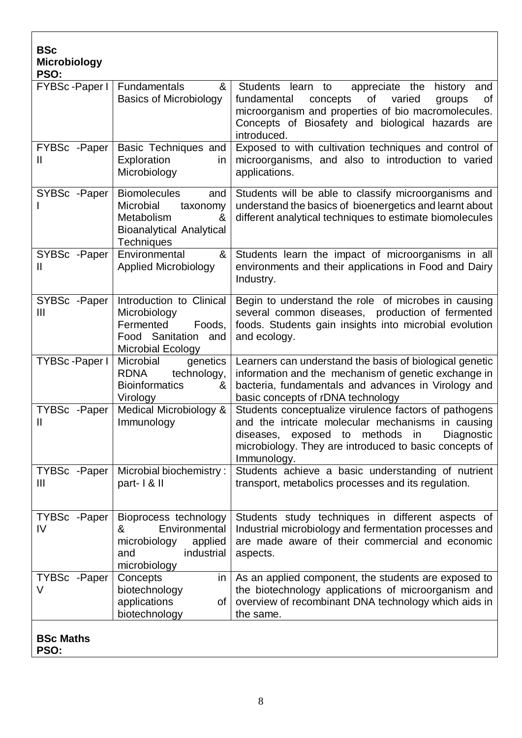| <b>BSc</b><br><b>Microbiology</b><br>PSO: |                                                                                                                         |                                                                                                                                                                                                                                            |
|-------------------------------------------|-------------------------------------------------------------------------------------------------------------------------|--------------------------------------------------------------------------------------------------------------------------------------------------------------------------------------------------------------------------------------------|
| FYBSc-Paper I                             | Fundamentals<br>&<br><b>Basics of Microbiology</b>                                                                      | Students learn to<br>appreciate the<br>history<br>and<br>fundamental<br>of<br>varied<br>concepts<br>groups<br>Οf<br>microorganism and properties of bio macromolecules.<br>Concepts of Biosafety and biological hazards are<br>introduced. |
| FYBSc - Paper<br>Ш                        | Basic Techniques and<br>Exploration<br>in<br>Microbiology                                                               | Exposed to with cultivation techniques and control of<br>microorganisms, and also to introduction to varied<br>applications.                                                                                                               |
| SYBSc -Paper                              | <b>Biomolecules</b><br>and<br>Microbial<br>taxonomy<br>Metabolism<br>&<br><b>Bioanalytical Analytical</b><br>Techniques | Students will be able to classify microorganisms and<br>understand the basics of bioenergetics and learnt about<br>different analytical techniques to estimate biomolecules                                                                |
| SYBSc -Paper<br>Ш                         | &<br>Environmental<br><b>Applied Microbiology</b>                                                                       | Students learn the impact of microorganisms in all<br>environments and their applications in Food and Dairy<br>Industry.                                                                                                                   |
| SYBSc - Paper<br>$\mathbf{III}$           | Introduction to Clinical<br>Microbiology<br>Fermented<br>Foods,<br>Food Sanitation and<br><b>Microbial Ecology</b>      | Begin to understand the role of microbes in causing<br>several common diseases, production of fermented<br>foods. Students gain insights into microbial evolution<br>and ecology.                                                          |
| <b>TYBSc-Paper I</b>                      | Microbial<br>genetics<br><b>RDNA</b><br>technology,<br><b>Bioinformatics</b><br>&<br>Virology                           | Learners can understand the basis of biological genetic<br>information and the mechanism of genetic exchange in<br>bacteria, fundamentals and advances in Virology and<br>basic concepts of rDNA technology                                |
| TYBSc - Paper<br>$\mathbf{I}$             | Medical Microbiology &<br>Immunology                                                                                    | Students conceptualize virulence factors of pathogens<br>and the intricate molecular mechanisms in causing<br>diseases, exposed to methods in<br>Diagnostic<br>microbiology. They are introduced to basic concepts of<br>Immunology.       |
| TYBSc -Paper<br>$\mathbf{III}$            | Microbial biochemistry:<br>part-1& II                                                                                   | Students achieve a basic understanding of nutrient<br>transport, metabolics processes and its regulation.                                                                                                                                  |
| TYBSc - Paper<br>IV                       | Bioprocess technology<br>Environmental<br>&<br>microbiology<br>applied<br>industrial<br>and<br>microbiology             | Students study techniques in different aspects of<br>Industrial microbiology and fermentation processes and<br>are made aware of their commercial and economic<br>aspects.                                                                 |
| TYBSc - Paper<br>V                        | Concepts<br>in<br>biotechnology<br>applications<br>of <sub>l</sub><br>biotechnology                                     | As an applied component, the students are exposed to<br>the biotechnology applications of microorganism and<br>overview of recombinant DNA technology which aids in<br>the same.                                                           |
| <b>BSc Maths</b>                          |                                                                                                                         |                                                                                                                                                                                                                                            |

**PSO:**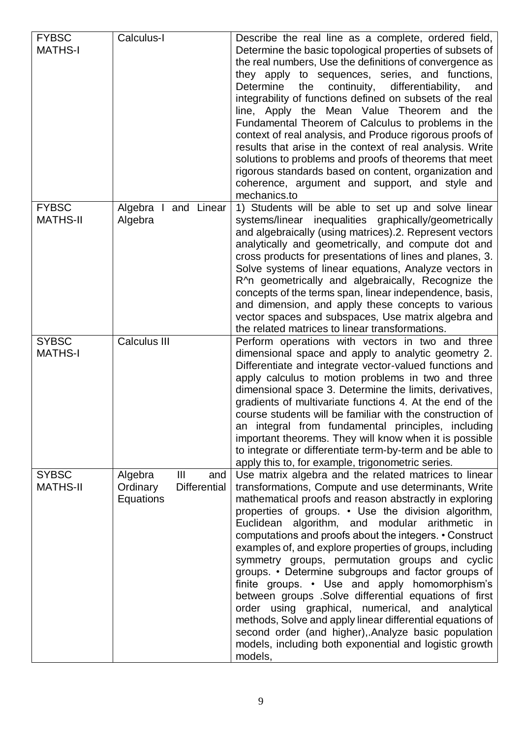| <b>FYBSC</b>    | Calculus-I                       | Describe the real line as a complete, ordered field,         |
|-----------------|----------------------------------|--------------------------------------------------------------|
| <b>MATHS-I</b>  |                                  | Determine the basic topological properties of subsets of     |
|                 |                                  | the real numbers, Use the definitions of convergence as      |
|                 |                                  | they apply to sequences, series, and functions,              |
|                 |                                  | continuity,<br>differentiability,<br>Determine<br>the<br>and |
|                 |                                  |                                                              |
|                 |                                  | integrability of functions defined on subsets of the real    |
|                 |                                  | line, Apply the Mean Value Theorem and the                   |
|                 |                                  | Fundamental Theorem of Calculus to problems in the           |
|                 |                                  | context of real analysis, and Produce rigorous proofs of     |
|                 |                                  | results that arise in the context of real analysis. Write    |
|                 |                                  | solutions to problems and proofs of theorems that meet       |
|                 |                                  | rigorous standards based on content, organization and        |
|                 |                                  | coherence, argument and support, and style and               |
|                 |                                  | mechanics.to                                                 |
| <b>FYBSC</b>    | Algebra<br>I and Linear          | 1) Students will be able to set up and solve linear          |
| <b>MATHS-II</b> | Algebra                          | systems/linear inequalities graphically/geometrically        |
|                 |                                  | and algebraically (using matrices).2. Represent vectors      |
|                 |                                  | analytically and geometrically, and compute dot and          |
|                 |                                  |                                                              |
|                 |                                  | cross products for presentations of lines and planes, 3.     |
|                 |                                  | Solve systems of linear equations, Analyze vectors in        |
|                 |                                  | R^n geometrically and algebraically, Recognize the           |
|                 |                                  | concepts of the terms span, linear independence, basis,      |
|                 |                                  | and dimension, and apply these concepts to various           |
|                 |                                  | vector spaces and subspaces, Use matrix algebra and          |
|                 |                                  | the related matrices to linear transformations.              |
| <b>SYBSC</b>    | <b>Calculus III</b>              | Perform operations with vectors in two and three             |
| <b>MATHS-I</b>  |                                  | dimensional space and apply to analytic geometry 2.          |
|                 |                                  | Differentiate and integrate vector-valued functions and      |
|                 |                                  | apply calculus to motion problems in two and three           |
|                 |                                  | dimensional space 3. Determine the limits, derivatives,      |
|                 |                                  | gradients of multivariate functions 4. At the end of the     |
|                 |                                  | course students will be familiar with the construction of    |
|                 |                                  | an integral from fundamental principles, including           |
|                 |                                  | important theorems. They will know when it is possible       |
|                 |                                  |                                                              |
|                 |                                  | to integrate or differentiate term-by-term and be able to    |
|                 |                                  | apply this to, for example, trigonometric series.            |
| <b>SYBSC</b>    | $\mathbf{III}$<br>Algebra<br>and | Use matrix algebra and the related matrices to linear        |
| <b>MATHS-II</b> | Ordinary<br><b>Differential</b>  | transformations, Compute and use determinants, Write         |
|                 | Equations                        | mathematical proofs and reason abstractly in exploring       |
|                 |                                  | properties of groups. • Use the division algorithm,          |
|                 |                                  | Euclidean algorithm, and modular arithmetic in               |
|                 |                                  | computations and proofs about the integers. • Construct      |
|                 |                                  | examples of, and explore properties of groups, including     |
|                 |                                  | symmetry groups, permutation groups and cyclic               |
|                 |                                  | groups. • Determine subgroups and factor groups of           |
|                 |                                  | finite groups. • Use and apply homomorphism's                |
|                 |                                  | between groups .Solve differential equations of first        |
|                 |                                  | order using graphical, numerical, and analytical             |
|                 |                                  | methods, Solve and apply linear differential equations of    |
|                 |                                  | second order (and higher), Analyze basic population          |
|                 |                                  |                                                              |
|                 |                                  | models, including both exponential and logistic growth       |
|                 |                                  | models,                                                      |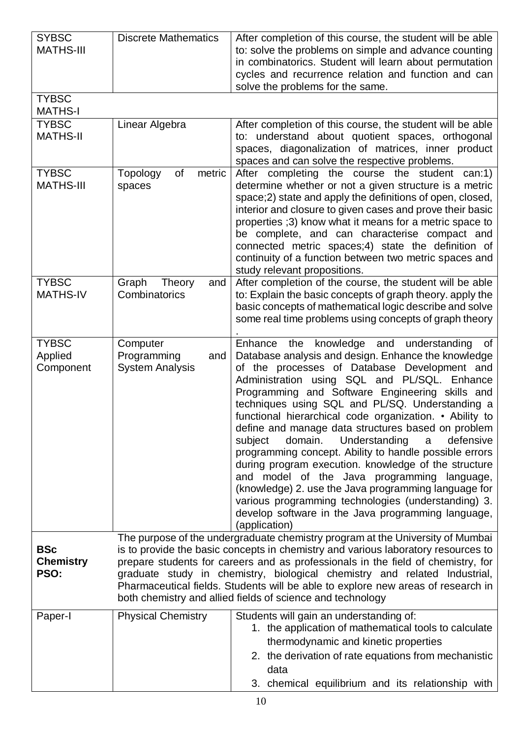| <b>SYBSC</b><br><b>MATHS-III</b>       | <b>Discrete Mathematics</b>                                                                                                                                                                                                                                                                                                                                                                                                                                                            | After completion of this course, the student will be able<br>to: solve the problems on simple and advance counting<br>in combinatorics. Student will learn about permutation<br>cycles and recurrence relation and function and can<br>solve the problems for the same.                                                                                                                                                                                                                                                                                                                                                                                                                                                                                                                                                                              |  |
|----------------------------------------|----------------------------------------------------------------------------------------------------------------------------------------------------------------------------------------------------------------------------------------------------------------------------------------------------------------------------------------------------------------------------------------------------------------------------------------------------------------------------------------|------------------------------------------------------------------------------------------------------------------------------------------------------------------------------------------------------------------------------------------------------------------------------------------------------------------------------------------------------------------------------------------------------------------------------------------------------------------------------------------------------------------------------------------------------------------------------------------------------------------------------------------------------------------------------------------------------------------------------------------------------------------------------------------------------------------------------------------------------|--|
| <b>TYBSC</b><br><b>MATHS-I</b>         |                                                                                                                                                                                                                                                                                                                                                                                                                                                                                        |                                                                                                                                                                                                                                                                                                                                                                                                                                                                                                                                                                                                                                                                                                                                                                                                                                                      |  |
| <b>TYBSC</b><br><b>MATHS-II</b>        | Linear Algebra                                                                                                                                                                                                                                                                                                                                                                                                                                                                         | After completion of this course, the student will be able<br>to: understand about quotient spaces, orthogonal<br>spaces, diagonalization of matrices, inner product<br>spaces and can solve the respective problems.                                                                                                                                                                                                                                                                                                                                                                                                                                                                                                                                                                                                                                 |  |
| <b>TYBSC</b><br><b>MATHS-III</b>       | Topology<br>οf<br>metric<br>spaces                                                                                                                                                                                                                                                                                                                                                                                                                                                     | After completing the course the student<br>can:1)<br>determine whether or not a given structure is a metric<br>space;2) state and apply the definitions of open, closed,<br>interior and closure to given cases and prove their basic<br>properties (3) know what it means for a metric space to<br>be complete, and can characterise compact and<br>connected metric spaces; 4) state the definition of<br>continuity of a function between two metric spaces and<br>study relevant propositions.                                                                                                                                                                                                                                                                                                                                                   |  |
| <b>TYBSC</b><br><b>MATHS-IV</b>        | Graph<br>Theory<br>and<br>Combinatorics                                                                                                                                                                                                                                                                                                                                                                                                                                                | After completion of the course, the student will be able<br>to: Explain the basic concepts of graph theory. apply the<br>basic concepts of mathematical logic describe and solve<br>some real time problems using concepts of graph theory                                                                                                                                                                                                                                                                                                                                                                                                                                                                                                                                                                                                           |  |
| <b>TYBSC</b><br>Applied<br>Component   | Computer<br>Programming<br>and<br><b>System Analysis</b>                                                                                                                                                                                                                                                                                                                                                                                                                               | the<br>knowledge and<br>understanding<br>Enhance<br>0f<br>Database analysis and design. Enhance the knowledge<br>of the processes of Database Development and<br>Administration using SQL and PL/SQL. Enhance<br>Programming and Software Engineering skills and<br>techniques using SQL and PL/SQ. Understanding a<br>functional hierarchical code organization. • Ability to<br>define and manage data structures based on problem<br>subject<br>domain.<br>Understanding<br>defensive<br>a<br>programming concept. Ability to handle possible errors<br>during program execution. knowledge of the structure<br>and model of the Java programming language,<br>(knowledge) 2. use the Java programming language for<br>various programming technologies (understanding) 3.<br>develop software in the Java programming language,<br>(application) |  |
| <b>BSc</b><br><b>Chemistry</b><br>PSO: | The purpose of the undergraduate chemistry program at the University of Mumbai<br>is to provide the basic concepts in chemistry and various laboratory resources to<br>prepare students for careers and as professionals in the field of chemistry, for<br>graduate study in chemistry, biological chemistry and related Industrial,<br>Pharmaceutical fields. Students will be able to explore new areas of research in<br>both chemistry and allied fields of science and technology |                                                                                                                                                                                                                                                                                                                                                                                                                                                                                                                                                                                                                                                                                                                                                                                                                                                      |  |
| Paper-I                                | <b>Physical Chemistry</b>                                                                                                                                                                                                                                                                                                                                                                                                                                                              | Students will gain an understanding of:<br>1. the application of mathematical tools to calculate<br>thermodynamic and kinetic properties<br>2. the derivation of rate equations from mechanistic<br>data<br>3. chemical equilibrium and its relationship with                                                                                                                                                                                                                                                                                                                                                                                                                                                                                                                                                                                        |  |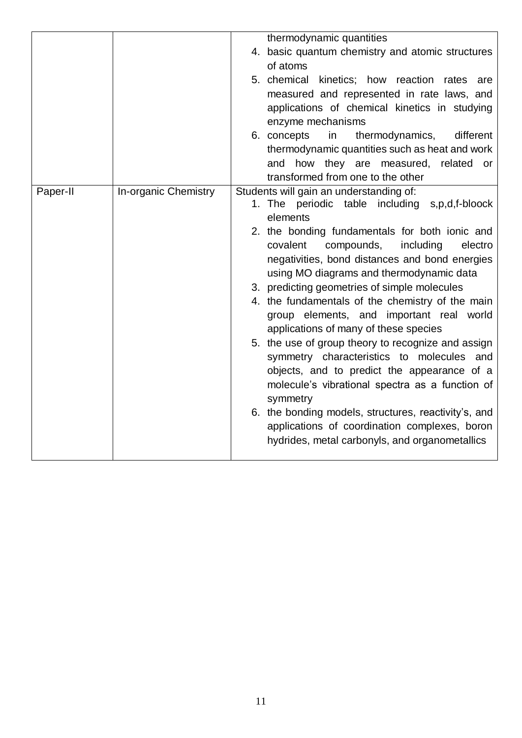|          |                      | thermodynamic quantities<br>4. basic quantum chemistry and atomic structures<br>of atoms<br>5. chemical kinetics; how reaction rates are<br>measured and represented in rate laws, and<br>applications of chemical kinetics in studying<br>enzyme mechanisms<br>thermodynamics,<br>different<br>6. concepts<br>in<br>thermodynamic quantities such as heat and work<br>how they are measured, related or<br>and<br>transformed from one to the other                                                                                                                                                                                                                                                                                                                                                                                                                         |
|----------|----------------------|------------------------------------------------------------------------------------------------------------------------------------------------------------------------------------------------------------------------------------------------------------------------------------------------------------------------------------------------------------------------------------------------------------------------------------------------------------------------------------------------------------------------------------------------------------------------------------------------------------------------------------------------------------------------------------------------------------------------------------------------------------------------------------------------------------------------------------------------------------------------------|
| Paper-II | In-organic Chemistry | Students will gain an understanding of:<br>1. The periodic table including s,p,d,f-bloock<br>elements<br>2. the bonding fundamentals for both ionic and<br>compounds,<br>including<br>covalent<br>electro<br>negativities, bond distances and bond energies<br>using MO diagrams and thermodynamic data<br>3. predicting geometries of simple molecules<br>4. the fundamentals of the chemistry of the main<br>group elements, and important real world<br>applications of many of these species<br>5. the use of group theory to recognize and assign<br>symmetry characteristics to molecules and<br>objects, and to predict the appearance of a<br>molecule's vibrational spectra as a function of<br>symmetry<br>6. the bonding models, structures, reactivity's, and<br>applications of coordination complexes, boron<br>hydrides, metal carbonyls, and organometallics |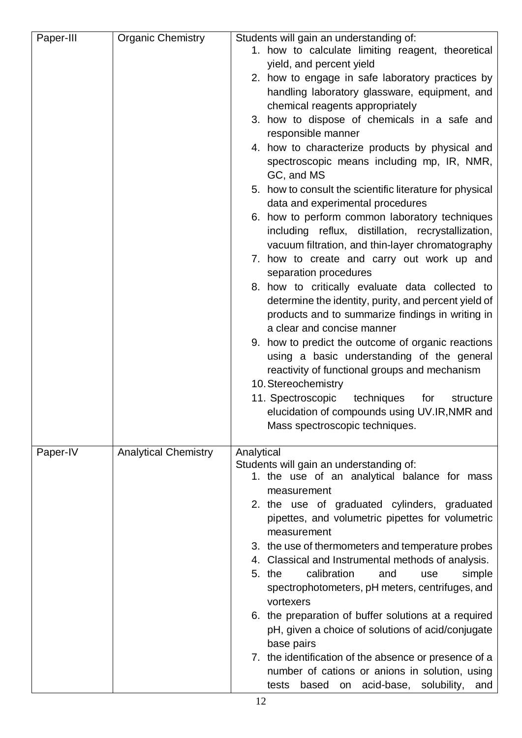| Paper-III | <b>Organic Chemistry</b>    | Students will gain an understanding of:<br>1. how to calculate limiting reagent, theoretical                |
|-----------|-----------------------------|-------------------------------------------------------------------------------------------------------------|
|           |                             | yield, and percent yield                                                                                    |
|           |                             | 2. how to engage in safe laboratory practices by                                                            |
|           |                             | handling laboratory glassware, equipment, and                                                               |
|           |                             | chemical reagents appropriately                                                                             |
|           |                             | 3. how to dispose of chemicals in a safe and                                                                |
|           |                             | responsible manner                                                                                          |
|           |                             | 4. how to characterize products by physical and<br>spectroscopic means including mp, IR, NMR,<br>GC, and MS |
|           |                             | 5. how to consult the scientific literature for physical<br>data and experimental procedures                |
|           |                             | 6. how to perform common laboratory techniques                                                              |
|           |                             | including reflux, distillation, recrystallization,                                                          |
|           |                             | vacuum filtration, and thin-layer chromatography<br>7. how to create and carry out work up and              |
|           |                             | separation procedures                                                                                       |
|           |                             | 8. how to critically evaluate data collected to                                                             |
|           |                             | determine the identity, purity, and percent yield of                                                        |
|           |                             | products and to summarize findings in writing in                                                            |
|           |                             | a clear and concise manner                                                                                  |
|           |                             | 9. how to predict the outcome of organic reactions                                                          |
|           |                             | using a basic understanding of the general                                                                  |
|           |                             | reactivity of functional groups and mechanism                                                               |
|           |                             | 10. Stereochemistry                                                                                         |
|           |                             | 11. Spectroscopic<br>techniques<br>for<br>structure<br>elucidation of compounds using UV.IR, NMR and        |
|           |                             | Mass spectroscopic techniques.                                                                              |
|           |                             |                                                                                                             |
| Paper-IV  | <b>Analytical Chemistry</b> | Analytical                                                                                                  |
|           |                             | Students will gain an understanding of:                                                                     |
|           |                             | 1. the use of an analytical balance for mass<br>measurement                                                 |
|           |                             | 2. the use of graduated cylinders, graduated                                                                |
|           |                             | pipettes, and volumetric pipettes for volumetric                                                            |
|           |                             | measurement<br>3. the use of thermometers and temperature probes                                            |
|           |                             | 4. Classical and Instrumental methods of analysis.                                                          |
|           |                             | calibration<br>5. the<br>and<br>simple<br>use                                                               |
|           |                             | spectrophotometers, pH meters, centrifuges, and                                                             |
|           |                             | vortexers                                                                                                   |
|           |                             | 6. the preparation of buffer solutions at a required                                                        |
|           |                             | pH, given a choice of solutions of acid/conjugate                                                           |
|           |                             | base pairs                                                                                                  |
|           |                             | 7. the identification of the absence or presence of a<br>number of cations or anions in solution, using     |
|           |                             |                                                                                                             |
|           |                             | based on acid-base, solubility, and<br>tests                                                                |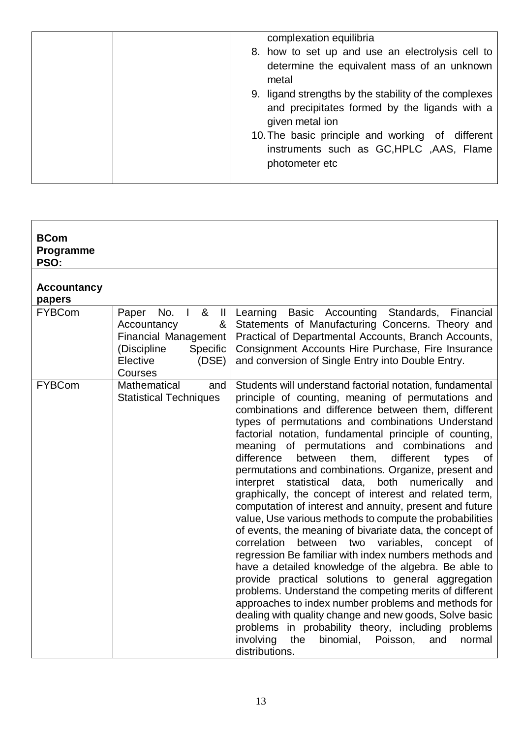|  | complexation equilibria                               |
|--|-------------------------------------------------------|
|  | 8. how to set up and use an electrolysis cell to      |
|  | determine the equivalent mass of an unknown           |
|  | metal                                                 |
|  | 9. ligand strengths by the stability of the complexes |
|  | and precipitates formed by the ligands with a         |
|  | given metal ion                                       |
|  | 10. The basic principle and working of different      |
|  | instruments such as GC, HPLC, AAS, Flame              |
|  | photometer etc                                        |
|  |                                                       |

| <b>BCom</b><br>Programme<br>PSO: |                                                                                                                                                     |                                                                                                                                                                                                                                                                                                                                                                                                                                                                                                                                                                                                                                                                                                                                                                                                                                                                                                                                                                                                                                                                                                                                                                                                                                                                                                                                   |
|----------------------------------|-----------------------------------------------------------------------------------------------------------------------------------------------------|-----------------------------------------------------------------------------------------------------------------------------------------------------------------------------------------------------------------------------------------------------------------------------------------------------------------------------------------------------------------------------------------------------------------------------------------------------------------------------------------------------------------------------------------------------------------------------------------------------------------------------------------------------------------------------------------------------------------------------------------------------------------------------------------------------------------------------------------------------------------------------------------------------------------------------------------------------------------------------------------------------------------------------------------------------------------------------------------------------------------------------------------------------------------------------------------------------------------------------------------------------------------------------------------------------------------------------------|
| <b>Accountancy</b><br>papers     |                                                                                                                                                     |                                                                                                                                                                                                                                                                                                                                                                                                                                                                                                                                                                                                                                                                                                                                                                                                                                                                                                                                                                                                                                                                                                                                                                                                                                                                                                                                   |
| <b>FYBCom</b>                    | No.<br>&<br>Paper<br>$\Box$<br>$\mathbf{II}$<br>&<br>Accountancy<br>Financial Management<br>(Discipline<br>Specific<br>Elective<br>(DSE)<br>Courses | Learning<br>Basic Accounting Standards, Financial<br>Statements of Manufacturing Concerns. Theory and<br>Practical of Departmental Accounts, Branch Accounts,<br>Consignment Accounts Hire Purchase, Fire Insurance<br>and conversion of Single Entry into Double Entry.                                                                                                                                                                                                                                                                                                                                                                                                                                                                                                                                                                                                                                                                                                                                                                                                                                                                                                                                                                                                                                                          |
| <b>FYBCom</b>                    | Mathematical<br>and<br><b>Statistical Techniques</b>                                                                                                | Students will understand factorial notation, fundamental<br>principle of counting, meaning of permutations and<br>combinations and difference between them, different<br>types of permutations and combinations Understand<br>factorial notation, fundamental principle of counting,<br>of permutations and combinations<br>meaning<br>and<br>difference<br>them,<br>different<br>between<br>of<br>types<br>permutations and combinations. Organize, present and<br>both numerically<br>interpret<br>statistical data,<br>and<br>graphically, the concept of interest and related term,<br>computation of interest and annuity, present and future<br>value, Use various methods to compute the probabilities<br>of events, the meaning of bivariate data, the concept of<br>correlation<br>between<br>variables,<br>two<br>concept<br>0f<br>regression Be familiar with index numbers methods and<br>have a detailed knowledge of the algebra. Be able to<br>provide practical solutions to general aggregation<br>problems. Understand the competing merits of different<br>approaches to index number problems and methods for<br>dealing with quality change and new goods, Solve basic<br>problems in probability theory, including problems<br>involving<br>the<br>binomial,<br>Poisson,<br>and<br>normal<br>distributions. |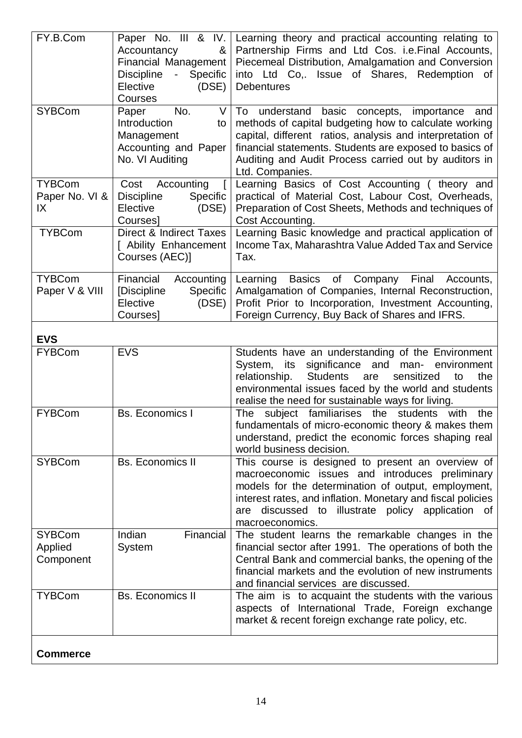| FY.B.Com                                                                                                               | Paper No. III & IV.<br>&<br>Accountancy<br><b>Financial Management</b><br><b>Discipline</b><br>Specific<br>$\blacksquare$<br>Elective<br>(DSE)<br>Courses | Learning theory and practical accounting relating to<br>Partnership Firms and Ltd Cos. i.e. Final Accounts,<br>Piecemeal Distribution, Amalgamation and Conversion<br>into Ltd Co,. Issue of Shares,<br>Redemption<br>of<br><b>Debentures</b>                                                                |
|------------------------------------------------------------------------------------------------------------------------|-----------------------------------------------------------------------------------------------------------------------------------------------------------|--------------------------------------------------------------------------------------------------------------------------------------------------------------------------------------------------------------------------------------------------------------------------------------------------------------|
| <b>SYBCom</b>                                                                                                          | No.<br>Paper<br>V<br>Introduction<br>to<br>Management<br>Accounting and Paper<br>No. VI Auditing                                                          | To understand basic concepts, importance<br>and<br>methods of capital budgeting how to calculate working<br>capital, different ratios, analysis and interpretation of<br>financial statements. Students are exposed to basics of<br>Auditing and Audit Process carried out by auditors in<br>Ltd. Companies. |
| <b>TYBCom</b><br>Paper No. VI &<br>IX                                                                                  | Cost<br>Accounting<br>$\mathbf{I}$<br>Specific<br><b>Discipline</b><br>Elective<br>(DSE)<br>Courses]                                                      | Learning Basics of Cost Accounting (theory and<br>practical of Material Cost, Labour Cost, Overheads,<br>Preparation of Cost Sheets, Methods and techniques of<br>Cost Accounting.                                                                                                                           |
| <b>TYBCom</b>                                                                                                          | Direct & Indirect Taxes<br>[ Ability Enhancement<br>Courses (AEC)]                                                                                        | Learning Basic knowledge and practical application of<br>Income Tax, Maharashtra Value Added Tax and Service<br>Tax.                                                                                                                                                                                         |
| <b>TYBCom</b><br>Financial<br>Accounting<br>Paper V & VIII<br>[Discipline<br>Specific<br>(DSE)<br>Elective<br>Courses] |                                                                                                                                                           | Learning Basics of Company<br>Final<br>Accounts,<br>Amalgamation of Companies, Internal Reconstruction,<br>Profit Prior to Incorporation, Investment Accounting,<br>Foreign Currency, Buy Back of Shares and IFRS.                                                                                           |
| <b>EVS</b>                                                                                                             |                                                                                                                                                           |                                                                                                                                                                                                                                                                                                              |
| <b>FYBCom</b>                                                                                                          | <b>EVS</b>                                                                                                                                                | Students have an understanding of the Environment<br>significance and man-<br>System,<br>its<br>environment<br><b>Students</b><br>relationship.<br>sensitized<br>the<br>are<br>to<br>environmental issues faced by the world and students<br>realise the need for sustainable ways for living.               |
| <b>FYBCom</b>                                                                                                          | <b>Bs. Economics I</b>                                                                                                                                    | The subject familiarises the students with<br>the<br>fundamentals of micro-economic theory & makes them<br>understand, predict the economic forces shaping real<br>world business decision.                                                                                                                  |
| <b>SYBCom</b>                                                                                                          | <b>Bs. Economics II</b>                                                                                                                                   | This course is designed to present an overview of<br>macroeconomic issues and introduces preliminary<br>models for the determination of output, employment,<br>interest rates, and inflation. Monetary and fiscal policies<br>discussed to<br>illustrate policy application of<br>are<br>macroeconomics.     |
| <b>SYBCom</b><br>Applied<br>Component                                                                                  | Indian<br>Financial<br>System                                                                                                                             | The student learns the remarkable changes in the<br>financial sector after 1991. The operations of both the<br>Central Bank and commercial banks, the opening of the<br>financial markets and the evolution of new instruments<br>and financial services are discussed.                                      |
| <b>Bs. Economics II</b><br><b>TYBCom</b>                                                                               |                                                                                                                                                           | The aim is to acquaint the students with the various<br>aspects of International Trade, Foreign exchange<br>market & recent foreign exchange rate policy, etc.                                                                                                                                               |
| <b>Commerce</b>                                                                                                        |                                                                                                                                                           |                                                                                                                                                                                                                                                                                                              |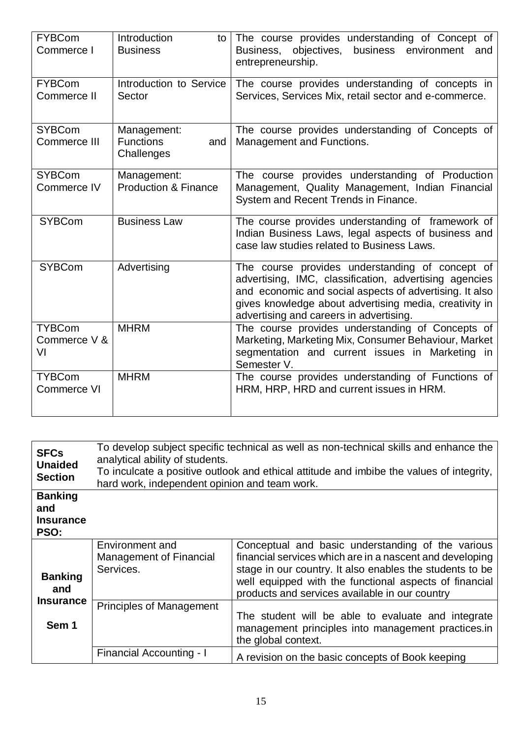| <b>FYBCom</b><br>Commerce I         | Introduction<br>to<br><b>Business</b>                | The course provides understanding of Concept of<br>Business,<br>objectives,<br>business environment<br>and<br>entrepreneurship.                                                                                                                                           |
|-------------------------------------|------------------------------------------------------|---------------------------------------------------------------------------------------------------------------------------------------------------------------------------------------------------------------------------------------------------------------------------|
| <b>FYBCom</b><br>Commerce II        | Introduction to Service<br>Sector                    | The course provides understanding of concepts in<br>Services, Services Mix, retail sector and e-commerce.                                                                                                                                                                 |
| <b>SYBCom</b><br>Commerce III       | Management:<br><b>Functions</b><br>and<br>Challenges | The course provides understanding of Concepts of<br>Management and Functions.                                                                                                                                                                                             |
| <b>SYBCom</b><br>Commerce IV        | Management:<br><b>Production &amp; Finance</b>       | The course provides understanding of Production<br>Management, Quality Management, Indian Financial<br>System and Recent Trends in Finance.                                                                                                                               |
| <b>SYBCom</b>                       | <b>Business Law</b>                                  | The course provides understanding of framework of<br>Indian Business Laws, legal aspects of business and<br>case law studies related to Business Laws.                                                                                                                    |
| <b>SYBCom</b>                       | Advertising                                          | The course provides understanding of concept of<br>advertising, IMC, classification, advertising agencies<br>and economic and social aspects of advertising. It also<br>gives knowledge about advertising media, creativity in<br>advertising and careers in advertising. |
| <b>TYBCom</b><br>Commerce V &<br>VI | <b>MHRM</b>                                          | The course provides understanding of Concepts of<br>Marketing, Marketing Mix, Consumer Behaviour, Market<br>segmentation and current issues in Marketing in<br>Semester V.                                                                                                |
| <b>TYBCom</b><br>Commerce VI        | <b>MHRM</b>                                          | The course provides understanding of Functions of<br>HRM, HRP, HRD and current issues in HRM.                                                                                                                                                                             |

| <b>SFCs</b><br><b>Unaided</b><br><b>Section</b>   | To develop subject specific technical as well as non-technical skills and enhance the<br>analytical ability of students.<br>To inculcate a positive outlook and ethical attitude and imbibe the values of integrity,<br>hard work, independent opinion and team work. |                                                                                                                                                                                                                                                                                       |  |
|---------------------------------------------------|-----------------------------------------------------------------------------------------------------------------------------------------------------------------------------------------------------------------------------------------------------------------------|---------------------------------------------------------------------------------------------------------------------------------------------------------------------------------------------------------------------------------------------------------------------------------------|--|
| <b>Banking</b><br>and<br><b>Insurance</b><br>PSO: |                                                                                                                                                                                                                                                                       |                                                                                                                                                                                                                                                                                       |  |
| <b>Banking</b><br>and                             | Environment and<br>Management of Financial<br>Services.                                                                                                                                                                                                               | Conceptual and basic understanding of the various<br>financial services which are in a nascent and developing<br>stage in our country. It also enables the students to be<br>well equipped with the functional aspects of financial<br>products and services available in our country |  |
| <b>Insurance</b><br>Sem 1                         | <b>Principles of Management</b>                                                                                                                                                                                                                                       | The student will be able to evaluate and integrate<br>management principles into management practices.in<br>the global context.                                                                                                                                                       |  |
|                                                   | Financial Accounting - I                                                                                                                                                                                                                                              | A revision on the basic concepts of Book keeping                                                                                                                                                                                                                                      |  |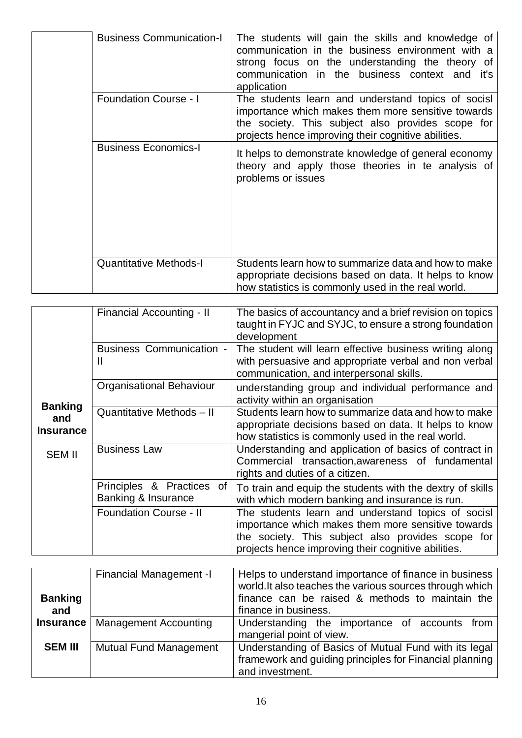| <b>Business Communication-I</b> | The students will gain the skills and knowledge of<br>communication in the business environment with a<br>strong focus on the understanding the theory of<br>communication in the business context and it's<br>application |
|---------------------------------|----------------------------------------------------------------------------------------------------------------------------------------------------------------------------------------------------------------------------|
| <b>Foundation Course - I</b>    | The students learn and understand topics of socisl<br>importance which makes them more sensitive towards<br>the society. This subject also provides scope for<br>projects hence improving their cognitive abilities.       |
| <b>Business Economics-I</b>     | It helps to demonstrate knowledge of general economy<br>theory and apply those theories in te analysis of<br>problems or issues                                                                                            |
| <b>Quantitative Methods-I</b>   | Students learn how to summarize data and how to make<br>appropriate decisions based on data. It helps to know<br>how statistics is commonly used in the real world.                                                        |

|                                           | Financial Accounting - II                        | The basics of accountancy and a brief revision on topics<br>taught in FYJC and SYJC, to ensure a strong foundation<br>development                                                                                    |
|-------------------------------------------|--------------------------------------------------|----------------------------------------------------------------------------------------------------------------------------------------------------------------------------------------------------------------------|
|                                           | <b>Business Communication -</b><br>Ш             | The student will learn effective business writing along<br>with persuasive and appropriate verbal and non verbal<br>communication, and interpersonal skills.                                                         |
|                                           | <b>Organisational Behaviour</b>                  | understanding group and individual performance and<br>activity within an organisation                                                                                                                                |
| <b>Banking</b><br>and<br><b>Insurance</b> | Quantitative Methods - II                        | Students learn how to summarize data and how to make<br>appropriate decisions based on data. It helps to know<br>how statistics is commonly used in the real world.                                                  |
| <b>SEM II</b>                             | <b>Business Law</b>                              | Understanding and application of basics of contract in<br>Commercial transaction, awareness of fundamental<br>rights and duties of a citizen.                                                                        |
|                                           | Principles & Practices of<br>Banking & Insurance | To train and equip the students with the dextry of skills<br>with which modern banking and insurance is run.                                                                                                         |
|                                           | <b>Foundation Course - II</b>                    | The students learn and understand topics of socisl<br>importance which makes them more sensitive towards<br>the society. This subject also provides scope for<br>projects hence improving their cognitive abilities. |

| <b>Banking</b><br>and | Financial Management -I       | Helps to understand importance of finance in business<br>world. It also teaches the various sources through which<br>finance can be raised & methods to maintain the<br>finance in business. |  |  |  |
|-----------------------|-------------------------------|----------------------------------------------------------------------------------------------------------------------------------------------------------------------------------------------|--|--|--|
| $Insurance \mid$      | <b>Management Accounting</b>  | Understanding the importance of accounts from<br>mangerial point of view.                                                                                                                    |  |  |  |
| <b>SEM III</b>        | <b>Mutual Fund Management</b> | Understanding of Basics of Mutual Fund with its legal<br>framework and guiding principles for Financial planning<br>and investment.                                                          |  |  |  |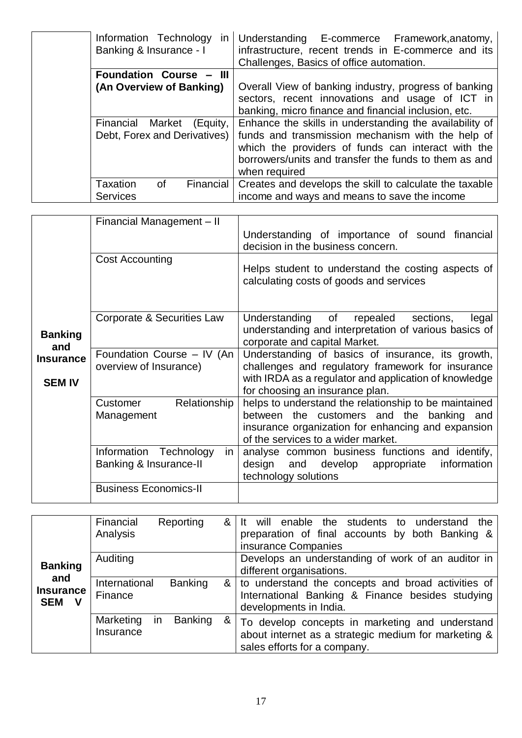| Information Technology in<br>Banking & Insurance - I         | Understanding E-commerce Framework, anatomy,<br>infrastructure, recent trends in E-commerce and its<br>Challenges, Basics of office automation.                                                                                              |
|--------------------------------------------------------------|----------------------------------------------------------------------------------------------------------------------------------------------------------------------------------------------------------------------------------------------|
| Foundation Course - III                                      |                                                                                                                                                                                                                                              |
| (An Overview of Banking)                                     | Overall View of banking industry, progress of banking<br>sectors, recent innovations and usage of ICT in<br>banking, micro finance and financial inclusion, etc.                                                                             |
| Financial Market<br>(Equity,<br>Debt, Forex and Derivatives) | Enhance the skills in understanding the availability of<br>funds and transmission mechanism with the help of<br>which the providers of funds can interact with the<br>borrowers/units and transfer the funds to them as and<br>when required |
| Taxation<br>Financial<br>οf<br><b>Services</b>               | Creates and develops the skill to calculate the taxable<br>income and ways and means to save the income                                                                                                                                      |

|                                   | Financial Management - II                              | Understanding of importance of sound financial<br>decision in the business concern.                                                                                                                |
|-----------------------------------|--------------------------------------------------------|----------------------------------------------------------------------------------------------------------------------------------------------------------------------------------------------------|
|                                   | <b>Cost Accounting</b>                                 | Helps student to understand the costing aspects of<br>calculating costs of goods and services                                                                                                      |
| <b>Banking</b><br>and             | Corporate & Securities Law                             | Understanding of repealed<br>sections,<br>legal<br>understanding and interpretation of various basics of<br>corporate and capital Market.                                                          |
| <b>Insurance</b><br><b>SEM IV</b> | Foundation Course - IV (An<br>overview of Insurance)   | Understanding of basics of insurance, its growth,<br>challenges and regulatory framework for insurance<br>with IRDA as a regulator and application of knowledge<br>for choosing an insurance plan. |
|                                   | Relationship<br>Customer<br>Management                 | helps to understand the relationship to be maintained<br>between the customers and the banking and<br>insurance organization for enhancing and expansion<br>of the services to a wider market.     |
|                                   | Information Technology<br>in<br>Banking & Insurance-II | analyse common business functions and identify,<br>develop appropriate<br>information<br>design<br>and<br>technology solutions                                                                     |
|                                   | <b>Business Economics-II</b>                           |                                                                                                                                                                                                    |

|                                            | Financial<br>Analysis    | Reporting                   | &  | will enable the students to understand<br>the<br>preparation of final accounts by both Banking &<br>insurance Companies                 |
|--------------------------------------------|--------------------------|-----------------------------|----|-----------------------------------------------------------------------------------------------------------------------------------------|
| <b>Banking</b>                             | Auditing                 |                             |    | Develops an understanding of work of an auditor in<br>different organisations.                                                          |
| and<br><b>Insurance</b><br><b>SEM</b><br>V | International<br>Finance | <b>Banking</b>              | &ା | to understand the concepts and broad activities of<br>International Banking & Finance besides studying<br>developments in India.        |
|                                            | Marketing<br>Insurance   | <b>Banking</b><br><b>in</b> | &  | To develop concepts in marketing and understand<br>about internet as a strategic medium for marketing &<br>sales efforts for a company. |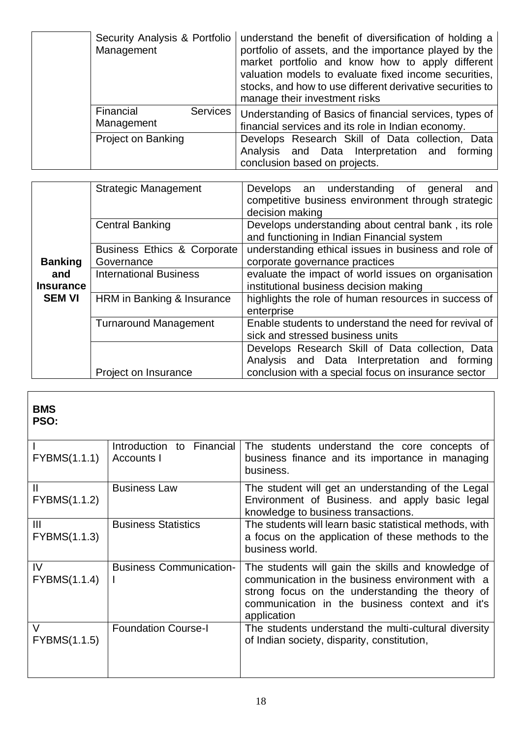| Security Analysis & Portfolio<br>Management | understand the benefit of diversification of holding a<br>portfolio of assets, and the importance played by the<br>market portfolio and know how to apply different<br>valuation models to evaluate fixed income securities,<br>stocks, and how to use different derivative securities to<br>manage their investment risks |
|---------------------------------------------|----------------------------------------------------------------------------------------------------------------------------------------------------------------------------------------------------------------------------------------------------------------------------------------------------------------------------|
| Services  <br>Financial<br>Management       | Understanding of Basics of financial services, types of<br>financial services and its role in Indian economy.                                                                                                                                                                                                              |
| <b>Project on Banking</b>                   | Develops Research Skill of Data collection, Data<br>Analysis and Data Interpretation and forming<br>conclusion based on projects.                                                                                                                                                                                          |

|                  | <b>Strategic Management</b>   | Develops an understanding of<br>general<br>and<br>competitive business environment through strategic<br>decision making |
|------------------|-------------------------------|-------------------------------------------------------------------------------------------------------------------------|
|                  | <b>Central Banking</b>        | Develops understanding about central bank, its role<br>and functioning in Indian Financial system                       |
|                  | Business Ethics & Corporate   | understanding ethical issues in business and role of                                                                    |
| <b>Banking</b>   | Governance                    | corporate governance practices                                                                                          |
| and              | <b>International Business</b> | evaluate the impact of world issues on organisation                                                                     |
| <b>Insurance</b> |                               | institutional business decision making                                                                                  |
| <b>SEM VI</b>    | HRM in Banking & Insurance    | highlights the role of human resources in success of<br>enterprise                                                      |
|                  | <b>Turnaround Management</b>  | Enable students to understand the need for revival of<br>sick and stressed business units                               |
|                  |                               | Develops Research Skill of Data collection, Data<br>Analysis and Data Interpretation and forming                        |
|                  | Project on Insurance          | conclusion with a special focus on insurance sector                                                                     |

# **BMS**

**PSO:**

| <b>FYBMS(1.1.1)</b>          | Introduction to Financial<br>Accounts I | The students understand the core concepts of<br>business finance and its importance in managing<br>business.                                                                                                               |
|------------------------------|-----------------------------------------|----------------------------------------------------------------------------------------------------------------------------------------------------------------------------------------------------------------------------|
| $\mathbf{H}$<br>FYBMS(1.1.2) | <b>Business Law</b>                     | The student will get an understanding of the Legal<br>Environment of Business. and apply basic legal<br>knowledge to business transactions.                                                                                |
| III<br><b>FYBMS(1.1.3)</b>   | <b>Business Statistics</b>              | The students will learn basic statistical methods, with<br>a focus on the application of these methods to the<br>business world.                                                                                           |
| IV<br>FYBMS(1.1.4)           | <b>Business Communication-</b>          | The students will gain the skills and knowledge of<br>communication in the business environment with a<br>strong focus on the understanding the theory of<br>communication in the business context and it's<br>application |
| $\vee$<br>FYBMS(1.1.5)       | <b>Foundation Course-I</b>              | The students understand the multi-cultural diversity<br>of Indian society, disparity, constitution,                                                                                                                        |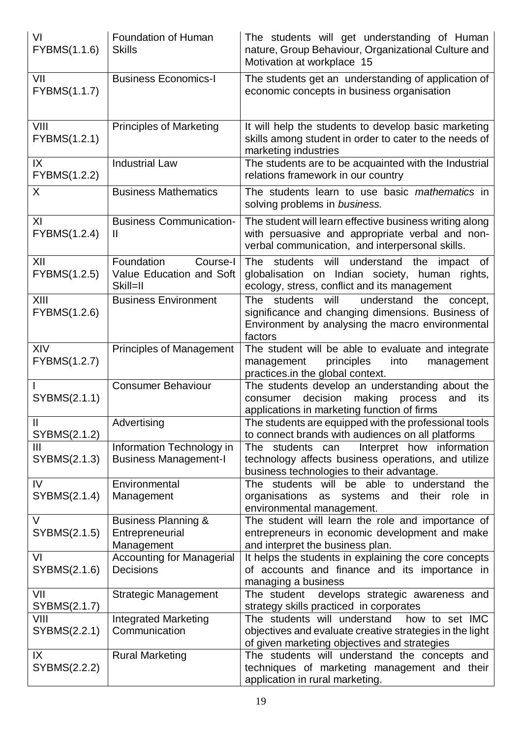| VI<br>FYBMS(1.1.6)            | Foundation of Human<br><b>Skills</b>                            | The students will get understanding of Human<br>nature, Group Behaviour, Organizational Culture and<br>Motivation at workplace 15                                |
|-------------------------------|-----------------------------------------------------------------|------------------------------------------------------------------------------------------------------------------------------------------------------------------|
| VII<br>FYBMS(1.1.7)           | <b>Business Economics-I</b>                                     | The students get an understanding of application of<br>economic concepts in business organisation                                                                |
| VIII<br>FYBMS(1.2.1)          | <b>Principles of Marketing</b>                                  | It will help the students to develop basic marketing<br>skills among student in order to cater to the needs of<br>marketing industries                           |
| IX<br>FYBMS(1.2.2)            | <b>Industrial Law</b>                                           | The students are to be acquainted with the Industrial<br>relations framework in our country                                                                      |
| $\sf X$                       | <b>Business Mathematics</b>                                     | The students learn to use basic mathematics in<br>solving problems in business.                                                                                  |
| XI<br>FYBMS(1.2.4)            | <b>Business Communication-</b><br>Ш                             | The student will learn effective business writing along<br>with persuasive and appropriate verbal and non-<br>verbal communication, and interpersonal skills.    |
| XII<br>FYBMS(1.2.5)           | Foundation<br>Course-I<br>Value Education and Soft<br>Skill=II  | The students will understand the impact of<br>globalisation on Indian society, human<br>rights,<br>ecology, stress, conflict and its management                  |
| XIII<br>FYBMS(1.2.6)          | <b>Business Environment</b>                                     | The students will<br>understand the concept,<br>significance and changing dimensions. Business of<br>Environment by analysing the macro environmental<br>factors |
| XIV<br>FYBMS(1.2.7)           | <b>Principles of Management</b>                                 | The student will be able to evaluate and integrate<br>principles<br>management<br>into<br>management<br>practices.in the global context.                         |
| SYBMS(2.1.1)                  | <b>Consumer Behaviour</b>                                       | The students develop an understanding about the<br>decision<br>making<br>process<br>consumer<br>and<br>its<br>applications in marketing function of firms        |
| $\mathbf{II}$<br>SYBMS(2.1.2) | Advertising                                                     | The students are equipped with the professional tools<br>to connect brands with audiences on all platforms                                                       |
| III<br>SYBMS(2.1.3)           | Information Technology in<br><b>Business Management-I</b>       | Interpret how information<br>The students can<br>technology affects business operations, and utilize<br>business technologies to their advantage.                |
| IV<br>SYBMS(2.1.4)            | Environmental<br>Management                                     | The students will be able to understand<br>the<br>organisations<br>as systems<br>and<br>their<br>role<br>in<br>environmental management.                         |
| V<br>SYBMS(2.1.5)             | <b>Business Planning &amp;</b><br>Entrepreneurial<br>Management | The student will learn the role and importance of<br>entrepreneurs in economic development and make<br>and interpret the business plan.                          |
| VI<br>SYBMS(2.1.6)            | <b>Accounting for Managerial</b><br>Decisions                   | It helps the students in explaining the core concepts<br>of accounts and finance and its importance in<br>managing a business                                    |
| VII<br>SYBMS(2.1.7)           | Strategic Management                                            | develops strategic awareness and<br>The student<br>strategy skills practiced in corporates                                                                       |
| VIII<br>SYBMS(2.2.1)          | <b>Integrated Marketing</b><br>Communication                    | The students will understand<br>how to set IMC<br>objectives and evaluate creative strategies in the light<br>of given marketing objectives and strategies       |
| IX<br>SYBMS(2.2.2)            | <b>Rural Marketing</b>                                          | The students will understand the concepts and<br>techniques of marketing management and their<br>application in rural marketing.                                 |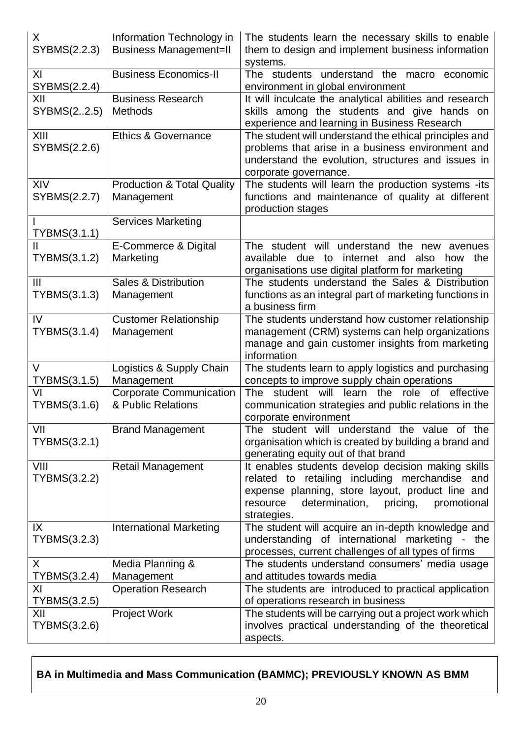| X.<br>SYBMS(2.2.3)             | Information Technology in<br><b>Business Management=II</b> | The students learn the necessary skills to enable<br>them to design and implement business information<br>systems.                                                                                                                  |
|--------------------------------|------------------------------------------------------------|-------------------------------------------------------------------------------------------------------------------------------------------------------------------------------------------------------------------------------------|
| XI<br>SYBMS(2.2.4)             | <b>Business Economics-II</b>                               | The students understand the macro economic<br>environment in global environment                                                                                                                                                     |
| XII<br>SYBMS(22.5)             | <b>Business Research</b><br><b>Methods</b>                 | It will inculcate the analytical abilities and research<br>skills among the students and give hands on<br>experience and learning in Business Research                                                                              |
| XIII<br>SYBMS(2.2.6)           | <b>Ethics &amp; Governance</b>                             | The student will understand the ethical principles and<br>problems that arise in a business environment and<br>understand the evolution, structures and issues in<br>corporate governance.                                          |
| XIV<br>SYBMS(2.2.7)            | <b>Production &amp; Total Quality</b><br>Management        | The students will learn the production systems -its<br>functions and maintenance of quality at different<br>production stages                                                                                                       |
| TYBMS(3.1.1)                   | <b>Services Marketing</b>                                  |                                                                                                                                                                                                                                     |
| TYBMS(3.1.2)                   | E-Commerce & Digital<br>Marketing                          | The student will understand the new avenues<br>internet and also<br>available due to<br>the<br>how<br>organisations use digital platform for marketing                                                                              |
| $\mathbf{III}$<br>TYBMS(3.1.3) | Sales & Distribution<br>Management                         | The students understand the Sales & Distribution<br>functions as an integral part of marketing functions in<br>a business firm                                                                                                      |
| IV<br>TYBMS(3.1.4)             | <b>Customer Relationship</b><br>Management                 | The students understand how customer relationship<br>management (CRM) systems can help organizations<br>manage and gain customer insights from marketing<br>information                                                             |
| V<br>TYBMS(3.1.5)              | Logistics & Supply Chain<br>Management                     | The students learn to apply logistics and purchasing<br>concepts to improve supply chain operations                                                                                                                                 |
| VI<br>TYBMS(3.1.6)             | <b>Corporate Communication</b><br>& Public Relations       | learn<br>role of effective<br>student<br>will<br>the<br>The<br>communication strategies and public relations in the<br>corporate environment                                                                                        |
| VII<br>TYBMS(3.2.1)            | <b>Brand Management</b>                                    | The student will understand the value of the<br>organisation which is created by building a brand and<br>generating equity out of that brand                                                                                        |
| VIII<br>TYBMS(3.2.2)           | <b>Retail Management</b>                                   | It enables students develop decision making skills<br>related to retailing including merchandise<br>and<br>expense planning, store layout, product line and<br>determination,<br>resource<br>pricing,<br>promotional<br>strategies. |
| IX<br>TYBMS(3.2.3)             | <b>International Marketing</b>                             | The student will acquire an in-depth knowledge and<br>understanding of international marketing<br>- the<br>processes, current challenges of all types of firms                                                                      |
| X                              | Media Planning &                                           | The students understand consumers' media usage                                                                                                                                                                                      |
| TYBMS(3.2.4)<br>ΧI             | Management<br><b>Operation Research</b>                    | and attitudes towards media<br>The students are introduced to practical application                                                                                                                                                 |
| TYBMS(3.2.5)                   |                                                            | of operations research in business                                                                                                                                                                                                  |
| XII                            | <b>Project Work</b>                                        | The students will be carrying out a project work which                                                                                                                                                                              |
| TYBMS(3.2.6)                   |                                                            | involves practical understanding of the theoretical                                                                                                                                                                                 |
|                                |                                                            | aspects.                                                                                                                                                                                                                            |

## **BA in Multimedia and Mass Communication (BAMMC); PREVIOUSLY KNOWN AS BMM**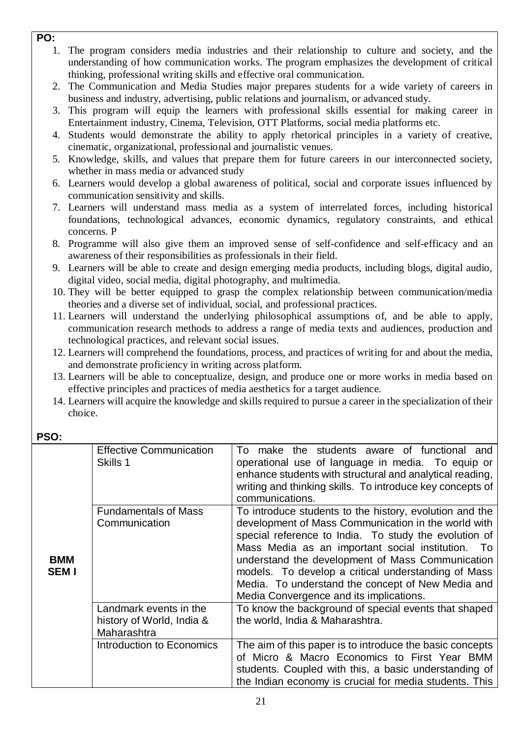- **PO:** 
	- 1. The program considers media industries and their relationship to culture and society, and the understanding of how communication works. The program emphasizes the development of critical thinking, professional writing skills and effective oral communication.
	- 2. The Communication and Media Studies major prepares students for a wide variety of careers in business and industry, advertising, public relations and journalism, or advanced study.
	- 3. This program will equip the learners with professional skills essential for making career in Entertainment industry, Cinema, Television, OTT Platforms, social media platforms etc.
	- 4. Students would demonstrate the ability to apply rhetorical principles in a variety of creative, cinematic, organizational, professional and journalistic venues.
	- 5. Knowledge, skills, and values that prepare them for future careers in our interconnected society, whether in mass media or advanced study
	- 6. Learners would develop a global awareness of political, social and corporate issues influenced by communication sensitivity and skills.
	- 7. Learners will understand mass media as a system of interrelated forces, including historical foundations, technological advances, economic dynamics, regulatory constraints, and ethical concerns. P
	- 8. Programme will also give them an improved sense of self-confidence and self-efficacy and an awareness of their responsibilities as professionals in their field.
	- 9. Learners will be able to create and design emerging media products, including blogs, digital audio, digital video, social media, digital photography, and multimedia.
	- 10. They will be better equipped to grasp the complex relationship between communication/media theories and a diverse set of individual, social, and professional practices.
	- 11. Learners will understand the underlying philosophical assumptions of, and be able to apply, communication research methods to address a range of media texts and audiences, production and technological practices, and relevant social issues.
	- 12. Learners will comprehend the foundations, process, and practices of writing for and about the media, and demonstrate proficiency in writing across platform.
	- 13. Learners will be able to conceptualize, design, and produce one or more works in media based on effective principles and practices of media aesthetics for a target audience.
	- 14. Learners will acquire the knowledge and skills required to pursue a career in the specialization of their choice.

| <b>BMM</b><br><b>SEMI</b> | <b>Effective Communication</b><br>Skills 1                         | make the students aware of functional and<br>To l<br>operational use of language in media. To equip or<br>enhance students with structural and analytical reading,<br>writing and thinking skills. To introduce key concepts of<br>communications.                                                                                                                                                                                      |
|---------------------------|--------------------------------------------------------------------|-----------------------------------------------------------------------------------------------------------------------------------------------------------------------------------------------------------------------------------------------------------------------------------------------------------------------------------------------------------------------------------------------------------------------------------------|
|                           | <b>Fundamentals of Mass</b><br>Communication                       | To introduce students to the history, evolution and the<br>development of Mass Communication in the world with<br>special reference to India. To study the evolution of<br>Mass Media as an important social institution. To<br>understand the development of Mass Communication<br>models. To develop a critical understanding of Mass<br>Media. To understand the concept of New Media and<br>Media Convergence and its implications. |
|                           | Landmark events in the<br>history of World, India &<br>Maharashtra | To know the background of special events that shaped<br>the world, India & Maharashtra.                                                                                                                                                                                                                                                                                                                                                 |
|                           | Introduction to Economics                                          | The aim of this paper is to introduce the basic concepts<br>of Micro & Macro Economics to First Year BMM<br>students. Coupled with this, a basic understanding of<br>the Indian economy is crucial for media students. This                                                                                                                                                                                                             |

### **PSO:**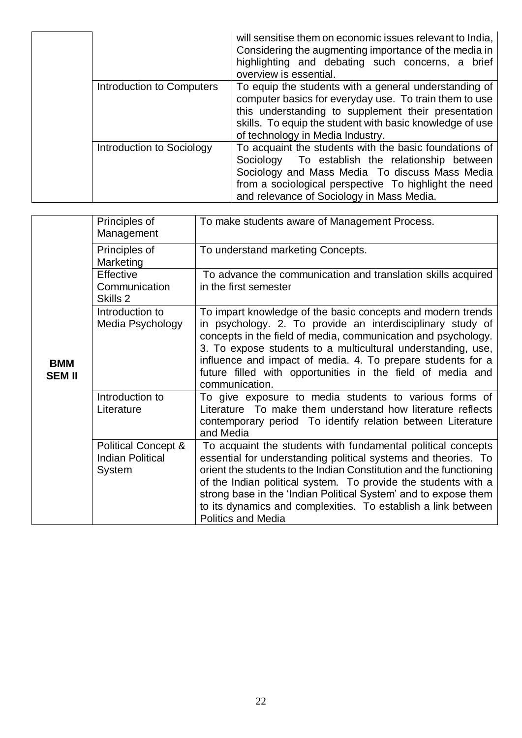|  |                           | will sensitise them on economic issues relevant to India,<br>Considering the augmenting importance of the media in<br>highlighting and debating such concerns, a brief<br>overview is essential.                                                                       |
|--|---------------------------|------------------------------------------------------------------------------------------------------------------------------------------------------------------------------------------------------------------------------------------------------------------------|
|  | Introduction to Computers | To equip the students with a general understanding of<br>computer basics for everyday use. To train them to use<br>this understanding to supplement their presentation<br>skills. To equip the student with basic knowledge of use<br>of technology in Media Industry. |
|  | Introduction to Sociology | To acquaint the students with the basic foundations of<br>Sociology To establish the relationship between<br>Sociology and Mass Media To discuss Mass Media<br>from a sociological perspective To highlight the need<br>and relevance of Sociology in Mass Media.      |

|                             | Principles of<br>Management                                         | To make students aware of Management Process.                                                                                                                                                                                                                                                                                                                                                                                           |
|-----------------------------|---------------------------------------------------------------------|-----------------------------------------------------------------------------------------------------------------------------------------------------------------------------------------------------------------------------------------------------------------------------------------------------------------------------------------------------------------------------------------------------------------------------------------|
| <b>BMM</b><br><b>SEM II</b> | Principles of<br>Marketing                                          | To understand marketing Concepts.                                                                                                                                                                                                                                                                                                                                                                                                       |
|                             | Effective<br>Communication<br>Skills 2                              | To advance the communication and translation skills acquired<br>in the first semester                                                                                                                                                                                                                                                                                                                                                   |
|                             | Introduction to<br>Media Psychology                                 | To impart knowledge of the basic concepts and modern trends<br>in psychology. 2. To provide an interdisciplinary study of<br>concepts in the field of media, communication and psychology.<br>3. To expose students to a multicultural understanding, use,<br>influence and impact of media. 4. To prepare students for a<br>future filled with opportunities in the field of media and<br>communication.                               |
|                             | Introduction to<br>Literature                                       | To give exposure to media students to various forms of<br>Literature To make them understand how literature reflects<br>contemporary period To identify relation between Literature<br>and Media                                                                                                                                                                                                                                        |
|                             | <b>Political Concept &amp;</b><br><b>Indian Political</b><br>System | To acquaint the students with fundamental political concepts<br>essential for understanding political systems and theories. To<br>orient the students to the Indian Constitution and the functioning<br>of the Indian political system. To provide the students with a<br>strong base in the 'Indian Political System' and to expose them<br>to its dynamics and complexities. To establish a link between<br><b>Politics and Media</b> |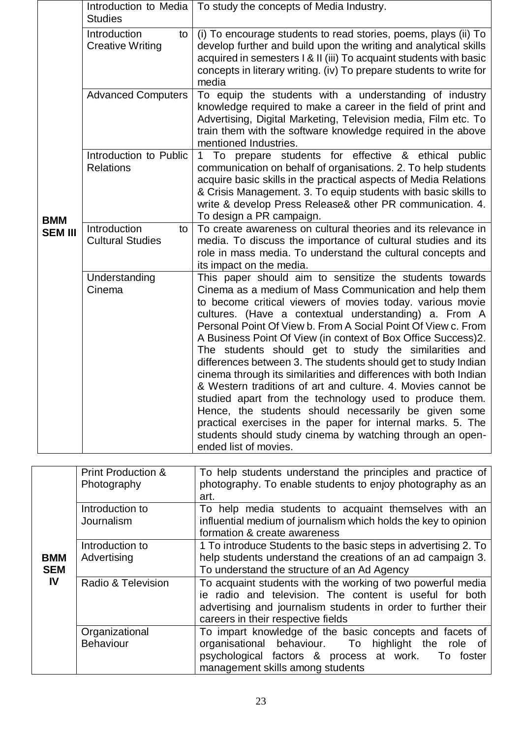|                              | <b>Studies</b>                                | Introduction to Media   To study the concepts of Media Industry.                                                                                                                                                                                                                                                                                                                                                                                                                                                                                                                                                                                                                                                                                                                                                                                                                                                 |
|------------------------------|-----------------------------------------------|------------------------------------------------------------------------------------------------------------------------------------------------------------------------------------------------------------------------------------------------------------------------------------------------------------------------------------------------------------------------------------------------------------------------------------------------------------------------------------------------------------------------------------------------------------------------------------------------------------------------------------------------------------------------------------------------------------------------------------------------------------------------------------------------------------------------------------------------------------------------------------------------------------------|
| <b>BMM</b><br><b>SEM III</b> | Introduction<br>to<br><b>Creative Writing</b> | (i) To encourage students to read stories, poems, plays (ii) To<br>develop further and build upon the writing and analytical skills<br>acquired in semesters I & II (iii) To acquaint students with basic<br>concepts in literary writing. (iv) To prepare students to write for<br>media                                                                                                                                                                                                                                                                                                                                                                                                                                                                                                                                                                                                                        |
|                              | <b>Advanced Computers</b>                     | To equip the students with a understanding of industry<br>knowledge required to make a career in the field of print and<br>Advertising, Digital Marketing, Television media, Film etc. To<br>train them with the software knowledge required in the above<br>mentioned Industries.                                                                                                                                                                                                                                                                                                                                                                                                                                                                                                                                                                                                                               |
|                              | Introduction to Public<br><b>Relations</b>    | To prepare students for effective & ethical public<br>1<br>communication on behalf of organisations. 2. To help students<br>acquire basic skills in the practical aspects of Media Relations<br>& Crisis Management. 3. To equip students with basic skills to<br>write & develop Press Release& other PR communication. 4.<br>To design a PR campaign.                                                                                                                                                                                                                                                                                                                                                                                                                                                                                                                                                          |
|                              | Introduction<br>to<br><b>Cultural Studies</b> | To create awareness on cultural theories and its relevance in<br>media. To discuss the importance of cultural studies and its<br>role in mass media. To understand the cultural concepts and<br>its impact on the media.                                                                                                                                                                                                                                                                                                                                                                                                                                                                                                                                                                                                                                                                                         |
|                              | Understanding<br>Cinema                       | This paper should aim to sensitize the students towards<br>Cinema as a medium of Mass Communication and help them<br>to become critical viewers of movies today. various movie<br>cultures. (Have a contextual understanding) a. From A<br>Personal Point Of View b. From A Social Point Of View c. From<br>A Business Point Of View (in context of Box Office Success)2.<br>The students should get to study the similarities and<br>differences between 3. The students should get to study Indian<br>cinema through its similarities and differences with both Indian<br>& Western traditions of art and culture. 4. Movies cannot be<br>studied apart from the technology used to produce them.<br>Hence, the students should necessarily be given some<br>practical exercises in the paper for internal marks. 5. The<br>students should study cinema by watching through an open-<br>ended list of movies. |

|                    | To help students understand the principles and practice of                                       |
|--------------------|--------------------------------------------------------------------------------------------------|
|                    | photography. To enable students to enjoy photography as an                                       |
|                    | art.                                                                                             |
|                    |                                                                                                  |
|                    | To help media students to acquaint themselves with an                                            |
| Journalism         | influential medium of journalism which holds the key to opinion                                  |
|                    | formation & create awareness                                                                     |
| Introduction to    | 1 To introduce Students to the basic steps in advertising 2. To                                  |
|                    | help students understand the creations of an ad campaign 3.                                      |
|                    | To understand the structure of an Ad Agency                                                      |
| Radio & Television | To acquaint students with the working of two powerful media                                      |
|                    | ie radio and television. The content is useful for both                                          |
|                    | advertising and journalism students in order to further their                                    |
|                    | careers in their respective fields                                                               |
|                    | To impart knowledge of the basic concepts and facets of                                          |
| <b>Behaviour</b>   | organisational behaviour. To<br>highlight the<br>role of                                         |
|                    | psychological factors & process at work.<br>To foster                                            |
|                    | management skills among students                                                                 |
|                    | <b>Print Production &amp;</b><br>Photography<br>Introduction to<br>Advertising<br>Organizational |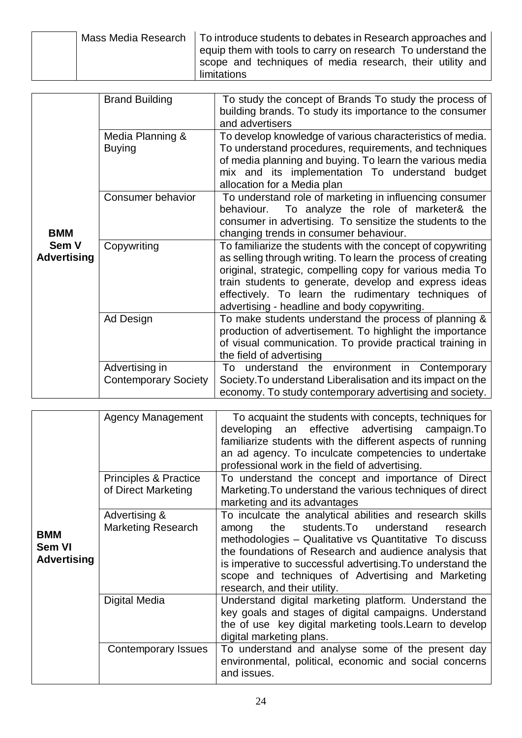|  | Mass Media Research   To introduce students to debates in Research approaches and |
|--|-----------------------------------------------------------------------------------|
|  | equip them with tools to carry on research To understand the                      |
|  | scope and techniques of media research, their utility and                         |
|  | limitations                                                                       |

|                    | <b>Brand Building</b>       | To study the concept of Brands To study the process of       |
|--------------------|-----------------------------|--------------------------------------------------------------|
|                    |                             | building brands. To study its importance to the consumer     |
|                    |                             | and advertisers                                              |
|                    | Media Planning &            | To develop knowledge of various characteristics of media.    |
|                    | <b>Buying</b>               | To understand procedures, requirements, and techniques       |
|                    |                             | of media planning and buying. To learn the various media     |
|                    |                             |                                                              |
|                    |                             | mix and its implementation To understand budget              |
|                    |                             | allocation for a Media plan                                  |
|                    | Consumer behavior           | To understand role of marketing in influencing consumer      |
|                    |                             | To analyze the role of marketer& the<br>behaviour.           |
|                    |                             | consumer in advertising. To sensitize the students to the    |
| <b>BMM</b>         |                             | changing trends in consumer behaviour.                       |
| Sem V              | Copywriting                 | To familiarize the students with the concept of copywriting  |
| <b>Advertising</b> |                             | as selling through writing. To learn the process of creating |
|                    |                             | original, strategic, compelling copy for various media To    |
|                    |                             | train students to generate, develop and express ideas        |
|                    |                             | effectively. To learn the rudimentary techniques of          |
|                    |                             | advertising - headline and body copywriting.                 |
|                    | Ad Design                   | To make students understand the process of planning &        |
|                    |                             | production of advertisement. To highlight the importance     |
|                    |                             | of visual communication. To provide practical training in    |
|                    |                             | the field of advertising                                     |
|                    | Advertising in              | To understand the environment in Contemporary                |
|                    | <b>Contemporary Society</b> | Society. To understand Liberalisation and its impact on the  |
|                    |                             | economy. To study contemporary advertising and society.      |

|                                                   | <b>Agency Management</b>                     | To acquaint the students with concepts, techniques for<br>developing an effective advertising campaign. To<br>familiarize students with the different aspects of running<br>an ad agency. To inculcate competencies to undertake<br>professional work in the field of advertising.                                                                                                      |
|---------------------------------------------------|----------------------------------------------|-----------------------------------------------------------------------------------------------------------------------------------------------------------------------------------------------------------------------------------------------------------------------------------------------------------------------------------------------------------------------------------------|
|                                                   | Principles & Practice<br>of Direct Marketing | To understand the concept and importance of Direct<br>Marketing. To understand the various techniques of direct                                                                                                                                                                                                                                                                         |
|                                                   |                                              | marketing and its advantages                                                                                                                                                                                                                                                                                                                                                            |
| <b>BMM</b><br><b>Sem VI</b><br><b>Advertising</b> | Advertising &<br><b>Marketing Research</b>   | To inculcate the analytical abilities and research skills<br>students. To understand<br>the<br>research<br>among<br>methodologies – Qualitative vs Quantitative To discuss<br>the foundations of Research and audience analysis that<br>is imperative to successful advertising. To understand the<br>scope and techniques of Advertising and Marketing<br>research, and their utility. |
|                                                   | Digital Media                                | Understand digital marketing platform. Understand the<br>key goals and stages of digital campaigns. Understand<br>the of use key digital marketing tools. Learn to develop<br>digital marketing plans.                                                                                                                                                                                  |
|                                                   | Contemporary Issues                          | To understand and analyse some of the present day<br>environmental, political, economic and social concerns<br>and issues.                                                                                                                                                                                                                                                              |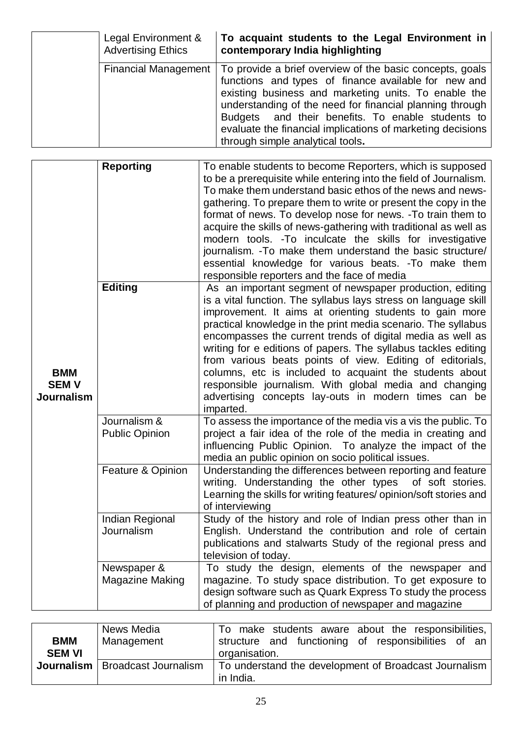| Legal Environment &<br><b>Advertising Ethics</b> | To acquaint students to the Legal Environment in<br>contemporary India highlighting                                                                                                                                                                                                                                                                                                         |
|--------------------------------------------------|---------------------------------------------------------------------------------------------------------------------------------------------------------------------------------------------------------------------------------------------------------------------------------------------------------------------------------------------------------------------------------------------|
| <b>Financial Management</b>                      | To provide a brief overview of the basic concepts, goals<br>functions and types of finance available for new and<br>existing business and marketing units. To enable the<br>understanding of the need for financial planning through<br>Budgets and their benefits. To enable students to<br>evaluate the financial implications of marketing decisions<br>through simple analytical tools. |

|                                                | <b>Reporting</b>                      | To enable students to become Reporters, which is supposed<br>to be a prerequisite while entering into the field of Journalism.<br>To make them understand basic ethos of the news and news-<br>gathering. To prepare them to write or present the copy in the<br>format of news. To develop nose for news. - To train them to<br>acquire the skills of news-gathering with traditional as well as<br>modern tools. - To inculcate the skills for investigative<br>journalism. - To make them understand the basic structure/<br>essential knowledge for various beats. - To make them<br>responsible reporters and the face of media           |
|------------------------------------------------|---------------------------------------|------------------------------------------------------------------------------------------------------------------------------------------------------------------------------------------------------------------------------------------------------------------------------------------------------------------------------------------------------------------------------------------------------------------------------------------------------------------------------------------------------------------------------------------------------------------------------------------------------------------------------------------------|
| <b>BMM</b><br><b>SEMV</b><br><b>Journalism</b> | <b>Editing</b>                        | As an important segment of newspaper production, editing<br>is a vital function. The syllabus lays stress on language skill<br>improvement. It aims at orienting students to gain more<br>practical knowledge in the print media scenario. The syllabus<br>encompasses the current trends of digital media as well as<br>writing for e editions of papers. The syllabus tackles editing<br>from various beats points of view. Editing of editorials,<br>columns, etc is included to acquaint the students about<br>responsible journalism. With global media and changing<br>advertising concepts lay-outs in modern times can be<br>imparted. |
|                                                | Journalism &<br><b>Public Opinion</b> | To assess the importance of the media vis a vis the public. To<br>project a fair idea of the role of the media in creating and<br>influencing Public Opinion. To analyze the impact of the<br>media an public opinion on socio political issues.                                                                                                                                                                                                                                                                                                                                                                                               |
|                                                | Feature & Opinion                     | Understanding the differences between reporting and feature<br>writing. Understanding the other types<br>of soft stories.<br>Learning the skills for writing features/ opinion/soft stories and<br>of interviewing                                                                                                                                                                                                                                                                                                                                                                                                                             |
|                                                | Indian Regional<br>Journalism         | Study of the history and role of Indian press other than in<br>English. Understand the contribution and role of certain<br>publications and stalwarts Study of the regional press and<br>television of today.                                                                                                                                                                                                                                                                                                                                                                                                                                  |
|                                                | Newspaper &<br><b>Magazine Making</b> | To study the design, elements of the newspaper and<br>magazine. To study space distribution. To get exposure to<br>design software such as Quark Express To study the process<br>of planning and production of newspaper and magazine                                                                                                                                                                                                                                                                                                                                                                                                          |

|               | News Media                               | To make students aware about the responsibilities,    |
|---------------|------------------------------------------|-------------------------------------------------------|
| <b>BMM</b>    | Management                               | structure and functioning of responsibilities of an   |
| <b>SEM VI</b> |                                          | organisation.                                         |
|               | <b>Journalism</b>   Broadcast Journalism | To understand the development of Broadcast Journalism |
|               |                                          | in India.                                             |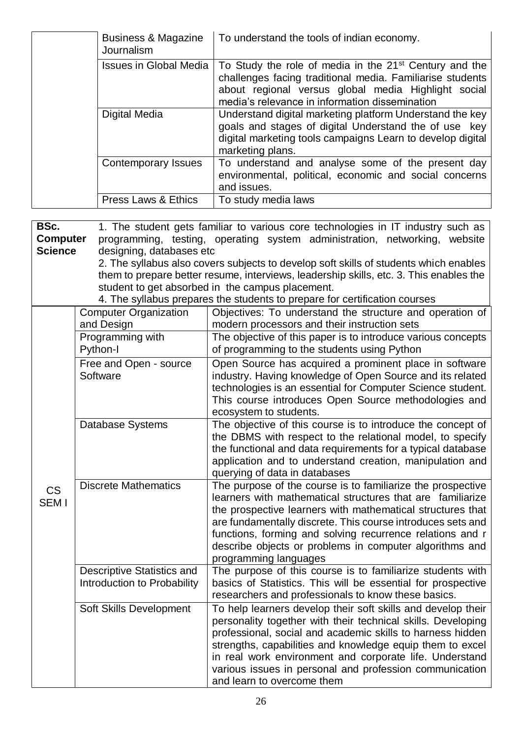| Business & Magazine<br>Journalism | To understand the tools of indian economy.                                                                                                                                                                                               |
|-----------------------------------|------------------------------------------------------------------------------------------------------------------------------------------------------------------------------------------------------------------------------------------|
| <b>Issues in Global Media</b>     | To Study the role of media in the 21 <sup>st</sup> Century and the<br>challenges facing traditional media. Familiarise students<br>about regional versus global media Highlight social<br>media's relevance in information dissemination |
| Digital Media                     | Understand digital marketing platform Understand the key<br>goals and stages of digital Understand the of use key<br>digital marketing tools campaigns Learn to develop digital<br>marketing plans.                                      |
| Contemporary Issues               | To understand and analyse some of the present day<br>environmental, political, economic and social concerns<br>and issues.                                                                                                               |
| <b>Press Laws &amp; Ethics</b>    | To study media laws                                                                                                                                                                                                                      |

| 1. The student gets familiar to various core technologies in IT industry such as<br>BSc.<br>programming, testing, operating system administration, networking, website<br><b>Computer</b><br><b>Science</b><br>designing, databases etc<br>2. The syllabus also covers subjects to develop soft skills of students which enables<br>them to prepare better resume, interviews, leadership skills, etc. 3. This enables the<br>student to get absorbed in the campus placement.<br>4. The syllabus prepares the students to prepare for certification courses |                                                                  |                                                                                                                                                                                                                                                                                                                                                                                                             |
|--------------------------------------------------------------------------------------------------------------------------------------------------------------------------------------------------------------------------------------------------------------------------------------------------------------------------------------------------------------------------------------------------------------------------------------------------------------------------------------------------------------------------------------------------------------|------------------------------------------------------------------|-------------------------------------------------------------------------------------------------------------------------------------------------------------------------------------------------------------------------------------------------------------------------------------------------------------------------------------------------------------------------------------------------------------|
|                                                                                                                                                                                                                                                                                                                                                                                                                                                                                                                                                              | <b>Computer Organization</b><br>and Design                       | Objectives: To understand the structure and operation of<br>modern processors and their instruction sets                                                                                                                                                                                                                                                                                                    |
|                                                                                                                                                                                                                                                                                                                                                                                                                                                                                                                                                              | Programming with<br>Python-I                                     | The objective of this paper is to introduce various concepts<br>of programming to the students using Python                                                                                                                                                                                                                                                                                                 |
| <b>CS</b><br>SEM I                                                                                                                                                                                                                                                                                                                                                                                                                                                                                                                                           | Free and Open - source<br>Software                               | Open Source has acquired a prominent place in software<br>industry. Having knowledge of Open Source and its related<br>technologies is an essential for Computer Science student.<br>This course introduces Open Source methodologies and<br>ecosystem to students.                                                                                                                                         |
|                                                                                                                                                                                                                                                                                                                                                                                                                                                                                                                                                              | Database Systems                                                 | The objective of this course is to introduce the concept of<br>the DBMS with respect to the relational model, to specify<br>the functional and data requirements for a typical database<br>application and to understand creation, manipulation and<br>querying of data in databases                                                                                                                        |
|                                                                                                                                                                                                                                                                                                                                                                                                                                                                                                                                                              | <b>Discrete Mathematics</b>                                      | The purpose of the course is to familiarize the prospective<br>learners with mathematical structures that are familiarize<br>the prospective learners with mathematical structures that<br>are fundamentally discrete. This course introduces sets and<br>functions, forming and solving recurrence relations and r<br>describe objects or problems in computer algorithms and<br>programming languages     |
|                                                                                                                                                                                                                                                                                                                                                                                                                                                                                                                                                              | <b>Descriptive Statistics and</b><br>Introduction to Probability | The purpose of this course is to familiarize students with<br>basics of Statistics. This will be essential for prospective<br>researchers and professionals to know these basics.                                                                                                                                                                                                                           |
|                                                                                                                                                                                                                                                                                                                                                                                                                                                                                                                                                              | Soft Skills Development                                          | To help learners develop their soft skills and develop their<br>personality together with their technical skills. Developing<br>professional, social and academic skills to harness hidden<br>strengths, capabilities and knowledge equip them to excel<br>in real work environment and corporate life. Understand<br>various issues in personal and profession communication<br>and learn to overcome them |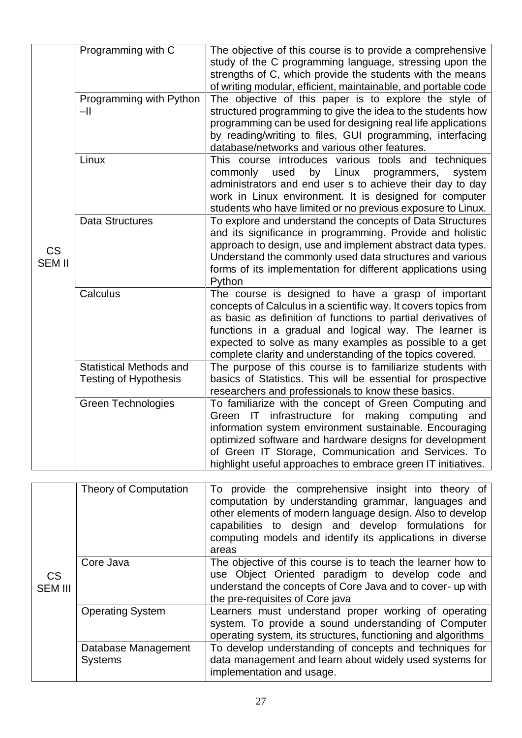|                             | Programming with C                                             | The objective of this course is to provide a comprehensive<br>study of the C programming language, stressing upon the<br>strengths of C, which provide the students with the means<br>of writing modular, efficient, maintainable, and portable code                                                                                                                      |
|-----------------------------|----------------------------------------------------------------|---------------------------------------------------------------------------------------------------------------------------------------------------------------------------------------------------------------------------------------------------------------------------------------------------------------------------------------------------------------------------|
| <b>CS</b><br><b>SEM II</b>  | Programming with Python<br>$-II$                               | The objective of this paper is to explore the style of<br>structured programming to give the idea to the students how<br>programming can be used for designing real life applications<br>by reading/writing to files, GUI programming, interfacing<br>database/networks and various other features.                                                                       |
|                             | Linux                                                          | This course introduces various tools and techniques<br>used<br>by<br>commonly<br>Linux<br>programmers,<br>system<br>administrators and end user s to achieve their day to day<br>work in Linux environment. It is designed for computer<br>students who have limited or no previous exposure to Linux.                                                                    |
|                             | <b>Data Structures</b>                                         | To explore and understand the concepts of Data Structures<br>and its significance in programming. Provide and holistic<br>approach to design, use and implement abstract data types.<br>Understand the commonly used data structures and various<br>forms of its implementation for different applications using<br>Python                                                |
|                             | Calculus                                                       | The course is designed to have a grasp of important<br>concepts of Calculus in a scientific way. It covers topics from<br>as basic as definition of functions to partial derivatives of<br>functions in a gradual and logical way. The learner is<br>expected to solve as many examples as possible to a get<br>complete clarity and understanding of the topics covered. |
|                             | <b>Statistical Methods and</b><br><b>Testing of Hypothesis</b> | The purpose of this course is to familiarize students with<br>basics of Statistics. This will be essential for prospective<br>researchers and professionals to know these basics.                                                                                                                                                                                         |
|                             | <b>Green Technologies</b>                                      | To familiarize with the concept of Green Computing and<br>infrastructure for making computing<br>IT<br>Green<br>and<br>information system environment sustainable. Encouraging<br>optimized software and hardware designs for development<br>of Green IT Storage, Communication and Services. To<br>highlight useful approaches to embrace green IT initiatives.          |
|                             | <b>Theory of Computation</b>                                   | To provide the comprehensive insight into theory of<br>computation by understanding grammar, languages and<br>other elements of modern language design. Also to develop<br>capabilities to design and develop formulations for<br>computing models and identify its applications in diverse<br>areas                                                                      |
| <b>CS</b><br><b>SEM III</b> | Core Java                                                      | The objective of this course is to teach the learner how to<br>use Object Oriented paradigm to develop code and<br>understand the concepts of Core Java and to cover- up with<br>the pre-requisites of Core java                                                                                                                                                          |
|                             | <b>Operating System</b>                                        | Learners must understand proper working of operating<br>system. To provide a sound understanding of Computer<br>operating system, its structures, functioning and algorithms                                                                                                                                                                                              |
|                             | Database Management<br><b>Systems</b>                          | To develop understanding of concepts and techniques for<br>data management and learn about widely used systems for<br>implementation and usage.                                                                                                                                                                                                                           |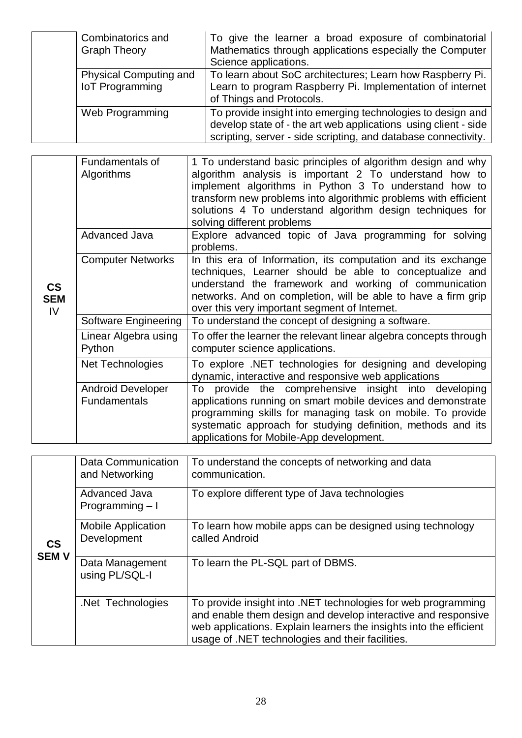| Combinatorics and<br><b>Graph Theory</b>                | To give the learner a broad exposure of combinatorial<br>Mathematics through applications especially the Computer<br>Science applications.                                                       |
|---------------------------------------------------------|--------------------------------------------------------------------------------------------------------------------------------------------------------------------------------------------------|
| <b>Physical Computing and</b><br><b>IoT</b> Programming | To learn about SoC architectures; Learn how Raspberry Pi.<br>Learn to program Raspberry Pi. Implementation of internet<br>of Things and Protocols.                                               |
| Web Programming                                         | To provide insight into emerging technologies to design and<br>develop state of - the art web applications using client - side<br>scripting, server - side scripting, and database connectivity. |

|                                   | Fundamentals of<br>Algorithms            | 1 To understand basic principles of algorithm design and why<br>algorithm analysis is important 2 To understand how to<br>implement algorithms in Python 3 To understand how to<br>transform new problems into algorithmic problems with efficient<br>solutions 4 To understand algorithm design techniques for<br>solving different problems |
|-----------------------------------|------------------------------------------|-----------------------------------------------------------------------------------------------------------------------------------------------------------------------------------------------------------------------------------------------------------------------------------------------------------------------------------------------|
|                                   | Advanced Java                            | Explore advanced topic of Java programming for solving<br>problems.                                                                                                                                                                                                                                                                           |
| $\mathsf{CS}$<br><b>SEM</b><br>IV | <b>Computer Networks</b>                 | In this era of Information, its computation and its exchange<br>techniques, Learner should be able to conceptualize and<br>understand the framework and working of communication<br>networks. And on completion, will be able to have a firm grip<br>over this very important segment of Internet.                                            |
|                                   | Software Engineering                     | To understand the concept of designing a software.                                                                                                                                                                                                                                                                                            |
|                                   | Linear Algebra using<br>Python           | To offer the learner the relevant linear algebra concepts through<br>computer science applications.                                                                                                                                                                                                                                           |
|                                   | Net Technologies                         | To explore .NET technologies for designing and developing<br>dynamic, interactive and responsive web applications                                                                                                                                                                                                                             |
|                                   | <b>Android Developer</b><br>Fundamentals | provide the comprehensive insight into developing<br>To<br>applications running on smart mobile devices and demonstrate<br>programming skills for managing task on mobile. To provide<br>systematic approach for studying definition, methods and its<br>applications for Mobile-App development.                                             |

|                                         | Data Communication<br>and Networking     | To understand the concepts of networking and data<br>communication.                                                                                                                                                                                      |
|-----------------------------------------|------------------------------------------|----------------------------------------------------------------------------------------------------------------------------------------------------------------------------------------------------------------------------------------------------------|
|                                         | <b>Advanced Java</b><br>Programming $-1$ | To explore different type of Java technologies                                                                                                                                                                                                           |
| $\mathsf{CS}\phantom{0}$<br><b>SEMV</b> | <b>Mobile Application</b><br>Development | To learn how mobile apps can be designed using technology<br>called Android                                                                                                                                                                              |
|                                         | Data Management<br>using PL/SQL-I        | To learn the PL-SQL part of DBMS.                                                                                                                                                                                                                        |
|                                         | Net Technologies                         | To provide insight into .NET technologies for web programming<br>and enable them design and develop interactive and responsive<br>web applications. Explain learners the insights into the efficient<br>usage of .NET technologies and their facilities. |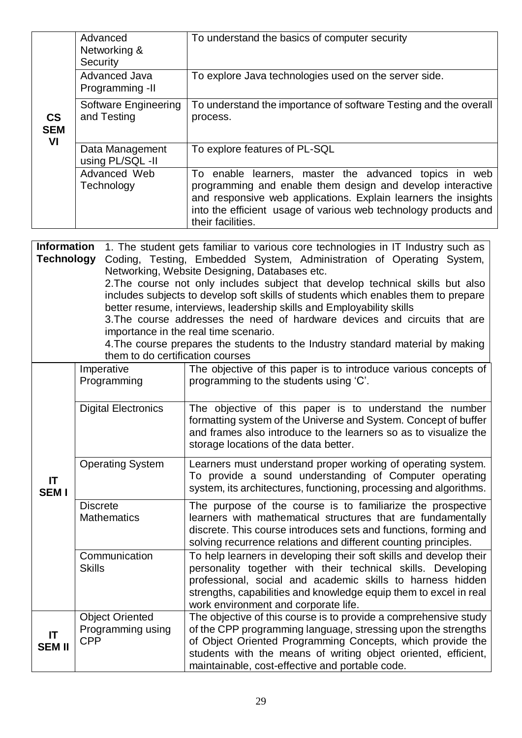|                                         | Advanced<br>Networking &<br>Security       | To understand the basics of computer security                                                                                                                                                                                                                                                                                                                                                                                                                                                                                                                                                                                                                         |
|-----------------------------------------|--------------------------------------------|-----------------------------------------------------------------------------------------------------------------------------------------------------------------------------------------------------------------------------------------------------------------------------------------------------------------------------------------------------------------------------------------------------------------------------------------------------------------------------------------------------------------------------------------------------------------------------------------------------------------------------------------------------------------------|
|                                         | Advanced Java<br>Programming -II           | To explore Java technologies used on the server side.                                                                                                                                                                                                                                                                                                                                                                                                                                                                                                                                                                                                                 |
| $\mathsf{CS}\phantom{0}$<br><b>SEM</b>  | <b>Software Engineering</b><br>and Testing | To understand the importance of software Testing and the overall<br>process.                                                                                                                                                                                                                                                                                                                                                                                                                                                                                                                                                                                          |
| VI                                      | Data Management<br>using PL/SQL -II        | To explore features of PL-SQL                                                                                                                                                                                                                                                                                                                                                                                                                                                                                                                                                                                                                                         |
|                                         | Advanced Web<br>Technology                 | To enable learners, master the advanced topics in web<br>programming and enable them design and develop interactive<br>and responsive web applications. Explain learners the insights<br>into the efficient usage of various web technology products and<br>their facilities.                                                                                                                                                                                                                                                                                                                                                                                         |
| <b>Information</b><br><b>Technology</b> | them to do certification courses           | 1. The student gets familiar to various core technologies in IT Industry such as<br>Coding, Testing, Embedded System, Administration of Operating System,<br>Networking, Website Designing, Databases etc.<br>2. The course not only includes subject that develop technical skills but also<br>includes subjects to develop soft skills of students which enables them to prepare<br>better resume, interviews, leadership skills and Employability skills<br>3. The course addresses the need of hardware devices and circuits that are<br>importance in the real time scenario.<br>4. The course prepares the students to the Industry standard material by making |
|                                         | Imperative<br>Programming                  | The objective of this paper is to introduce various concepts of<br>programming to the students using 'C'.                                                                                                                                                                                                                                                                                                                                                                                                                                                                                                                                                             |
|                                         | <b>Digital Electronics</b>                 | The objective of this paper is to understand the number<br>formatting system of the Universe and System. Concept of buffer<br>and frames also introduce to the learners so as to visualize the<br>storage locations of the data better.                                                                                                                                                                                                                                                                                                                                                                                                                               |
|                                         | <b>Operating System</b>                    | Learners must understand proper working of operating system.<br>To provide a cound understanding of Computer operating                                                                                                                                                                                                                                                                                                                                                                                                                                                                                                                                                |

| IT<br><b>SEM I</b>  |                                                           | To provide a sound understanding of Computer operating<br>system, its architectures, functioning, processing and algorithms.                                                                                                                                                                                         |
|---------------------|-----------------------------------------------------------|----------------------------------------------------------------------------------------------------------------------------------------------------------------------------------------------------------------------------------------------------------------------------------------------------------------------|
|                     | <b>Discrete</b><br><b>Mathematics</b>                     | The purpose of the course is to familiarize the prospective<br>learners with mathematical structures that are fundamentally<br>discrete. This course introduces sets and functions, forming and<br>solving recurrence relations and different counting principles.                                                   |
|                     | Communication<br><b>Skills</b>                            | To help learners in developing their soft skills and develop their<br>personality together with their technical skills. Developing<br>professional, social and academic skills to harness hidden<br>strengths, capabilities and knowledge equip them to excel in real<br>work environment and corporate life.        |
| IT<br><b>SEM II</b> | <b>Object Oriented</b><br>Programming using<br><b>CPP</b> | The objective of this course is to provide a comprehensive study<br>of the CPP programming language, stressing upon the strengths<br>of Object Oriented Programming Concepts, which provide the<br>students with the means of writing object oriented, efficient,<br>maintainable, cost-effective and portable code. |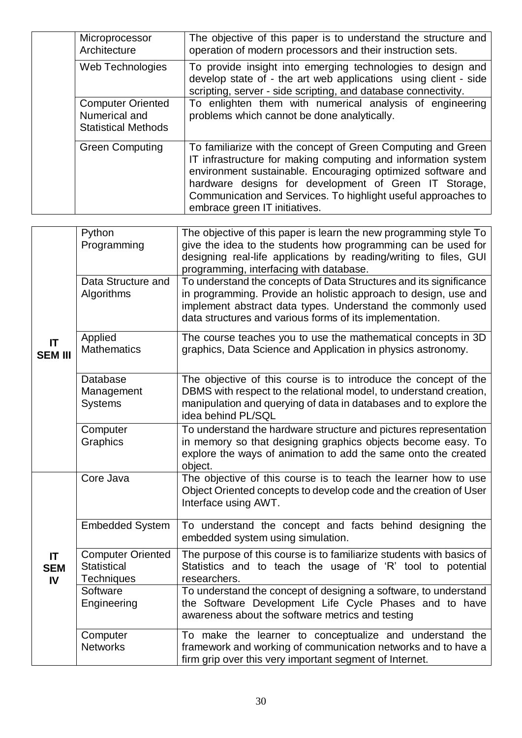| Microprocessor<br>Architecture                                          | The objective of this paper is to understand the structure and<br>operation of modern processors and their instruction sets.                                                                                                                                                                                                                            |
|-------------------------------------------------------------------------|---------------------------------------------------------------------------------------------------------------------------------------------------------------------------------------------------------------------------------------------------------------------------------------------------------------------------------------------------------|
| Web Technologies                                                        | To provide insight into emerging technologies to design and<br>develop state of - the art web applications using client - side<br>scripting, server - side scripting, and database connectivity.                                                                                                                                                        |
| <b>Computer Oriented</b><br>Numerical and<br><b>Statistical Methods</b> | To enlighten them with numerical analysis of engineering<br>problems which cannot be done analytically.                                                                                                                                                                                                                                                 |
| <b>Green Computing</b>                                                  | To familiarize with the concept of Green Computing and Green<br>IT infrastructure for making computing and information system<br>environment sustainable. Encouraging optimized software and<br>hardware designs for development of Green IT Storage,<br>Communication and Services. To highlight useful approaches to<br>embrace green IT initiatives. |

|                         | Python<br>Programming                                        | The objective of this paper is learn the new programming style To<br>give the idea to the students how programming can be used for<br>designing real-life applications by reading/writing to files, GUI<br>programming, interfacing with database.               |
|-------------------------|--------------------------------------------------------------|------------------------------------------------------------------------------------------------------------------------------------------------------------------------------------------------------------------------------------------------------------------|
|                         | Data Structure and<br>Algorithms                             | To understand the concepts of Data Structures and its significance<br>in programming. Provide an holistic approach to design, use and<br>implement abstract data types. Understand the commonly used<br>data structures and various forms of its implementation. |
| IT<br><b>SEM III</b>    | Applied<br><b>Mathematics</b>                                | The course teaches you to use the mathematical concepts in 3D<br>graphics, Data Science and Application in physics astronomy.                                                                                                                                    |
|                         | Database<br>Management<br><b>Systems</b>                     | The objective of this course is to introduce the concept of the<br>DBMS with respect to the relational model, to understand creation,<br>manipulation and querying of data in databases and to explore the<br>idea behind PL/SQL                                 |
|                         | Computer<br>Graphics                                         | To understand the hardware structure and pictures representation<br>in memory so that designing graphics objects become easy. To<br>explore the ways of animation to add the same onto the created<br>object.                                                    |
|                         | Core Java                                                    | The objective of this course is to teach the learner how to use<br>Object Oriented concepts to develop code and the creation of User<br>Interface using AWT.                                                                                                     |
|                         | <b>Embedded System</b>                                       | To understand the concept and facts behind designing the<br>embedded system using simulation.                                                                                                                                                                    |
| IT.<br><b>SEM</b><br>IV | <b>Computer Oriented</b><br><b>Statistical</b><br>Techniques | The purpose of this course is to familiarize students with basics of<br>Statistics and to teach the usage of 'R' tool to potential<br>researchers.                                                                                                               |
|                         | Software<br>Engineering                                      | To understand the concept of designing a software, to understand<br>the Software Development Life Cycle Phases and to have<br>awareness about the software metrics and testing                                                                                   |
|                         | Computer<br><b>Networks</b>                                  | To make the learner to conceptualize and understand the<br>framework and working of communication networks and to have a<br>firm grip over this very important segment of Internet.                                                                              |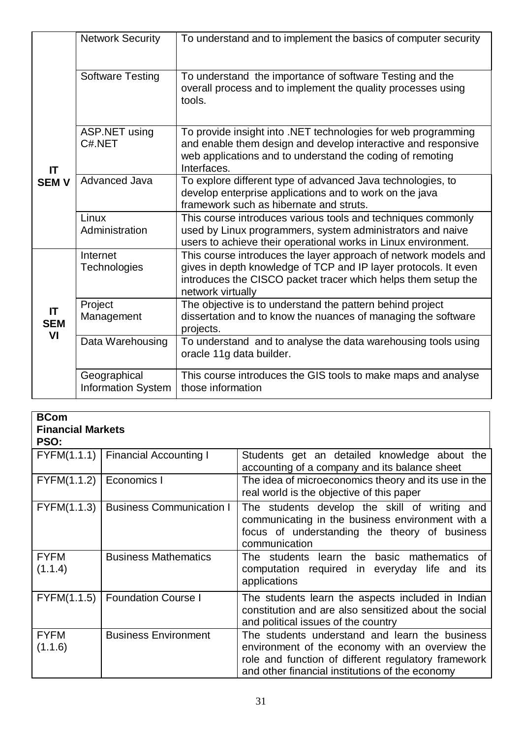|                        | <b>Network Security</b>                   | To understand and to implement the basics of computer security                                                                                                                                                           |
|------------------------|-------------------------------------------|--------------------------------------------------------------------------------------------------------------------------------------------------------------------------------------------------------------------------|
|                        | <b>Software Testing</b>                   | To understand the importance of software Testing and the<br>overall process and to implement the quality processes using<br>tools.                                                                                       |
| <b>IT</b>              | ASP.NET using<br>C#.NET                   | To provide insight into .NET technologies for web programming<br>and enable them design and develop interactive and responsive<br>web applications and to understand the coding of remoting<br>Interfaces.               |
| <b>SEMV</b>            | Advanced Java                             | To explore different type of advanced Java technologies, to<br>develop enterprise applications and to work on the java<br>framework such as hibernate and struts.                                                        |
|                        | Linux<br>Administration                   | This course introduces various tools and techniques commonly<br>used by Linux programmers, system administrators and naive<br>users to achieve their operational works in Linux environment.                             |
|                        | Internet<br>Technologies                  | This course introduces the layer approach of network models and<br>gives in depth knowledge of TCP and IP layer protocols. It even<br>introduces the CISCO packet tracer which helps them setup the<br>network virtually |
| IT<br><b>SEM</b><br>VI | Project<br>Management                     | The objective is to understand the pattern behind project<br>dissertation and to know the nuances of managing the software<br>projects.                                                                                  |
|                        | Data Warehousing                          | To understand and to analyse the data warehousing tools using<br>oracle 11g data builder.                                                                                                                                |
|                        | Geographical<br><b>Information System</b> | This course introduces the GIS tools to make maps and analyse<br>those information                                                                                                                                       |

| <b>BCom</b><br><b>Financial Markets</b><br>PSO: |                                      |                                                                                                                                                                                                             |
|-------------------------------------------------|--------------------------------------|-------------------------------------------------------------------------------------------------------------------------------------------------------------------------------------------------------------|
|                                                 | FYFM(1.1.1)   Financial Accounting I | Students get an detailed knowledge about the<br>accounting of a company and its balance sheet                                                                                                               |
| FYFM(1.1.2)                                     | Economics I                          | The idea of microeconomics theory and its use in the<br>real world is the objective of this paper                                                                                                           |
| FYFM(1.1.3)                                     | <b>Business Communication I</b>      | The students develop the skill of writing and<br>communicating in the business environment with a<br>focus of understanding the theory of business<br>communication                                         |
| <b>FYFM</b><br>(1.1.4)                          | <b>Business Mathematics</b>          | basic mathematics<br>The students learn the<br>0f<br>computation required in everyday life and<br>its<br>applications                                                                                       |
| FYFM(1.1.5)                                     | <b>Foundation Course I</b>           | The students learn the aspects included in Indian<br>constitution and are also sensitized about the social<br>and political issues of the country                                                           |
| <b>FYFM</b><br>(1.1.6)                          | <b>Business Environment</b>          | The students understand and learn the business<br>environment of the economy with an overview the<br>role and function of different regulatory framework<br>and other financial institutions of the economy |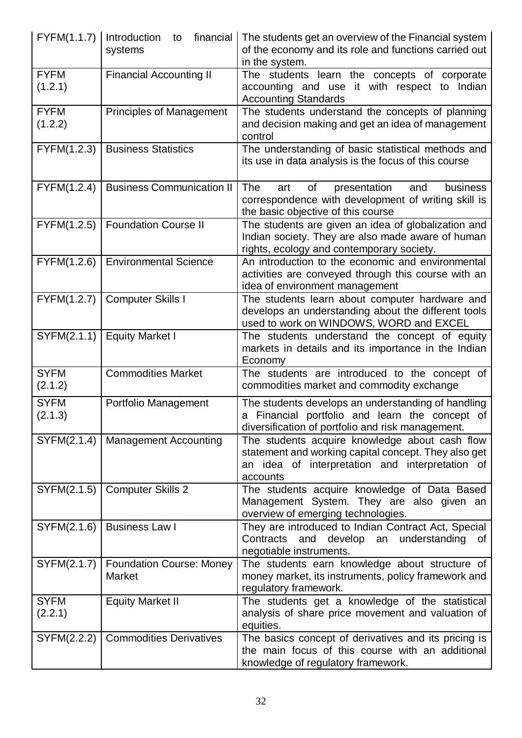| $FYFM(1.1.7)$   Introduction | financial<br>to<br>systems                       | The students get an overview of the Financial system<br>of the economy and its role and functions carried out<br>in the system.                                       |
|------------------------------|--------------------------------------------------|-----------------------------------------------------------------------------------------------------------------------------------------------------------------------|
| <b>FYFM</b><br>(1.2.1)       | <b>Financial Accounting II</b>                   | The students learn the concepts of corporate<br>accounting and use it with respect to Indian<br><b>Accounting Standards</b>                                           |
| <b>FYFM</b><br>(1.2.2)       | <b>Principles of Management</b>                  | The students understand the concepts of planning<br>and decision making and get an idea of management<br>control                                                      |
| FYFM(1.2.3)                  | <b>Business Statistics</b>                       | The understanding of basic statistical methods and<br>its use in data analysis is the focus of this course                                                            |
| FYFM(1.2.4)                  | <b>Business Communication II</b>                 | The<br>of<br>business<br>art<br>presentation<br>and<br>correspondence with development of writing skill is<br>the basic objective of this course                      |
| FYFM(1.2.5)                  | <b>Foundation Course II</b>                      | The students are given an idea of globalization and<br>Indian society. They are also made aware of human<br>rights, ecology and contemporary society.                 |
| FYFM(1.2.6)                  | <b>Environmental Science</b>                     | An introduction to the economic and environmental<br>activities are conveyed through this course with an<br>idea of environment management                            |
| FYFM(1.2.7)                  | <b>Computer Skills I</b>                         | The students learn about computer hardware and<br>develops an understanding about the different tools<br>used to work on WINDOWS, WORD and EXCEL                      |
| SYFM(2.1.1)                  | <b>Equity Market I</b>                           | The students understand the concept of equity<br>markets in details and its importance in the Indian<br>Economy                                                       |
| <b>SYFM</b><br>(2.1.2)       | <b>Commodities Market</b>                        | The students are introduced to the concept of<br>commodities market and commodity exchange                                                                            |
| <b>SYFM</b><br>(2.1.3)       | Portfolio Management                             | The students develops an understanding of handling<br>a Financial portfolio and learn the concept of<br>diversification of portfolio and risk management.             |
| SYFM(2.1.4)                  | <b>Management Accounting</b>                     | The students acquire knowledge about cash flow<br>statement and working capital concept. They also get<br>an idea of interpretation and interpretation of<br>accounts |
| SYFM(2.1.5)                  | <b>Computer Skills 2</b>                         | The students acquire knowledge of Data Based<br>Management System. They are also given an<br>overview of emerging technologies.                                       |
| SYFM(2.1.6)                  | <b>Business Law I</b>                            | They are introduced to Indian Contract Act, Special<br>develop an<br>Contracts<br>and<br>understanding<br>0f<br>negotiable instruments.                               |
| SYFM(2.1.7)                  | <b>Foundation Course: Money</b><br><b>Market</b> | The students earn knowledge about structure of<br>money market, its instruments, policy framework and<br>regulatory framework.                                        |
| <b>SYFM</b><br>(2.2.1)       | <b>Equity Market II</b>                          | The students get a knowledge of the statistical<br>analysis of share price movement and valuation of<br>equities.                                                     |
| SYFM(2.2.2)                  | <b>Commodities Derivatives</b>                   | The basics concept of derivatives and its pricing is<br>the main focus of this course with an additional<br>knowledge of regulatory framework.                        |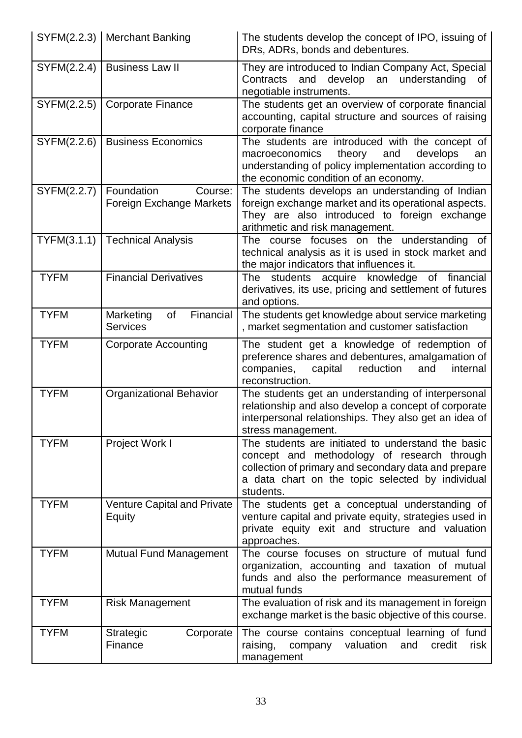|             | SYFM(2.2.3)   Merchant Banking                    | The students develop the concept of IPO, issuing of<br>DRs, ADRs, bonds and debentures.                                                                                                                                    |
|-------------|---------------------------------------------------|----------------------------------------------------------------------------------------------------------------------------------------------------------------------------------------------------------------------------|
| SYFM(2.2.4) | <b>Business Law II</b>                            | They are introduced to Indian Company Act, Special<br>Contracts and develop an understanding<br>0f<br>negotiable instruments.                                                                                              |
| SYFM(2.2.5) | Corporate Finance                                 | The students get an overview of corporate financial<br>accounting, capital structure and sources of raising<br>corporate finance                                                                                           |
| SYFM(2.2.6) | <b>Business Economics</b>                         | The students are introduced with the concept of<br>macroeconomics theory<br>and<br>develops<br>an<br>understanding of policy implementation according to<br>the economic condition of an economy.                          |
| SYFM(2.2.7) | Foundation<br>Course:<br>Foreign Exchange Markets | The students develops an understanding of Indian<br>foreign exchange market and its operational aspects.<br>They are also introduced to foreign exchange<br>arithmetic and risk management.                                |
| TYFM(3.1.1) | <b>Technical Analysis</b>                         | The course focuses on the understanding of<br>technical analysis as it is used in stock market and<br>the major indicators that influences it.                                                                             |
| <b>TYFM</b> | <b>Financial Derivatives</b>                      | The students acquire knowledge<br>of financial<br>derivatives, its use, pricing and settlement of futures<br>and options.                                                                                                  |
| <b>TYFM</b> | of<br>Financial<br>Marketing<br><b>Services</b>   | The students get knowledge about service marketing<br>, market segmentation and customer satisfaction                                                                                                                      |
| <b>TYFM</b> | <b>Corporate Accounting</b>                       | The student get a knowledge of redemption of<br>preference shares and debentures, amalgamation of<br>companies,<br>reduction<br>capital<br>and<br>internal<br>reconstruction.                                              |
| <b>TYFM</b> | <b>Organizational Behavior</b>                    | The students get an understanding of interpersonal<br>relationship and also develop a concept of corporate<br>interpersonal relationships. They also get an idea of<br>stress management.                                  |
| <b>TYFM</b> | Project Work I                                    | The students are initiated to understand the basic<br>concept and methodology of research through<br>collection of primary and secondary data and prepare<br>a data chart on the topic selected by individual<br>students. |
| <b>TYFM</b> | <b>Venture Capital and Private</b><br>Equity      | The students get a conceptual understanding of<br>venture capital and private equity, strategies used in<br>private equity exit and structure and valuation<br>approaches.                                                 |
| <b>TYFM</b> | <b>Mutual Fund Management</b>                     | The course focuses on structure of mutual fund<br>organization, accounting and taxation of mutual<br>funds and also the performance measurement of<br>mutual funds                                                         |
| <b>TYFM</b> | <b>Risk Management</b>                            | The evaluation of risk and its management in foreign<br>exchange market is the basic objective of this course.                                                                                                             |
| <b>TYFM</b> | Strategic<br>Corporate<br>Finance                 | The course contains conceptual learning of fund<br>valuation<br>credit<br>risk<br>raising,<br>company<br>and<br>management                                                                                                 |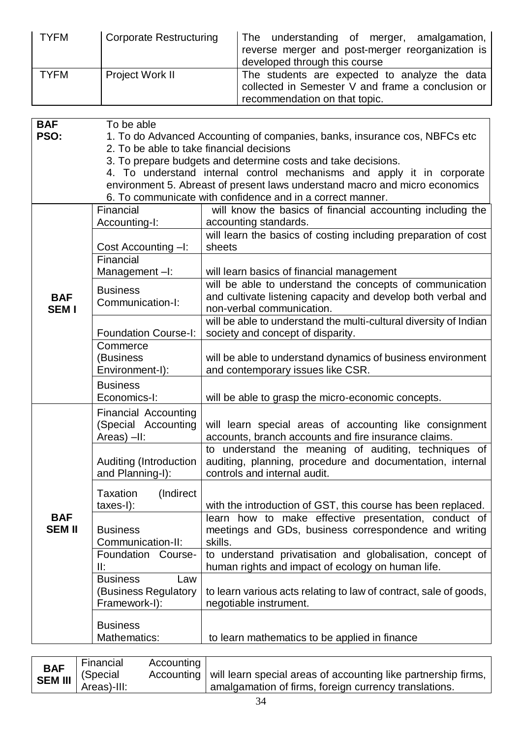| <b>TYFM</b>                                                                   | <b>Corporate Restructuring</b>                                    | The understanding of merger, amalgamation,<br>reverse merger and post-merger reorganization is<br>developed through this course                                                                                                                                                                                                                                    |  |
|-------------------------------------------------------------------------------|-------------------------------------------------------------------|--------------------------------------------------------------------------------------------------------------------------------------------------------------------------------------------------------------------------------------------------------------------------------------------------------------------------------------------------------------------|--|
| <b>TYFM</b>                                                                   | Project Work II                                                   | The students are expected to analyze the data<br>collected in Semester V and frame a conclusion or<br>recommendation on that topic.                                                                                                                                                                                                                                |  |
|                                                                               |                                                                   |                                                                                                                                                                                                                                                                                                                                                                    |  |
| <b>BAF</b><br>To be able<br>PSO:<br>2. To be able to take financial decisions |                                                                   | 1. To do Advanced Accounting of companies, banks, insurance cos, NBFCs etc<br>3. To prepare budgets and determine costs and take decisions.<br>4. To understand internal control mechanisms and apply it in corporate<br>environment 5. Abreast of present laws understand macro and micro economics<br>6. To communicate with confidence and in a correct manner. |  |
|                                                                               | Financial                                                         | will know the basics of financial accounting including the                                                                                                                                                                                                                                                                                                         |  |
|                                                                               | Accounting-I:                                                     | accounting standards.                                                                                                                                                                                                                                                                                                                                              |  |
| sheets<br>Cost Accounting -I:<br>Financial                                    |                                                                   | will learn the basics of costing including preparation of cost                                                                                                                                                                                                                                                                                                     |  |
|                                                                               | Management-I:                                                     | will learn basics of financial management                                                                                                                                                                                                                                                                                                                          |  |
| <b>BAF</b><br><b>SEMI</b>                                                     | <b>Business</b><br>Communication-I:                               | will be able to understand the concepts of communication<br>and cultivate listening capacity and develop both verbal and<br>non-verbal communication.                                                                                                                                                                                                              |  |
|                                                                               | <b>Foundation Course-I:</b>                                       | will be able to understand the multi-cultural diversity of Indian<br>society and concept of disparity.                                                                                                                                                                                                                                                             |  |
|                                                                               | Commerce<br>(Business<br>Environment-I):                          | will be able to understand dynamics of business environment<br>and contemporary issues like CSR.                                                                                                                                                                                                                                                                   |  |
|                                                                               | <b>Business</b><br>Economics-I:                                   | will be able to grasp the micro-economic concepts.                                                                                                                                                                                                                                                                                                                 |  |
|                                                                               | <b>Financial Accounting</b><br>(Special Accounting<br>Areas) -II: | will learn special areas of accounting like consignment<br>accounts, branch accounts and fire insurance claims.                                                                                                                                                                                                                                                    |  |
|                                                                               | Auditing (Introduction<br>and Planning-I):                        | to understand the meaning of auditing, techniques of<br>auditing, planning, procedure and documentation, internal<br>controls and internal audit.                                                                                                                                                                                                                  |  |
| Taxation<br>(Indirect)<br>$taxes-I$ :                                         |                                                                   | with the introduction of GST, this course has been replaced.                                                                                                                                                                                                                                                                                                       |  |
| <b>BAF</b><br><b>SEM II</b>                                                   | <b>Business</b><br>Communication-II:                              | learn how to make effective presentation, conduct of<br>meetings and GDs, business correspondence and writing<br>skills.                                                                                                                                                                                                                                           |  |
|                                                                               | Foundation Course-<br>II:                                         | to understand privatisation and globalisation, concept of<br>human rights and impact of ecology on human life.                                                                                                                                                                                                                                                     |  |
|                                                                               | <b>Business</b><br>Law<br>(Business Regulatory<br>Framework-I):   | to learn various acts relating to law of contract, sale of goods,<br>negotiable instrument.                                                                                                                                                                                                                                                                        |  |
|                                                                               | <b>Business</b><br>Mathematics:                                   | to learn mathematics to be applied in finance                                                                                                                                                                                                                                                                                                                      |  |

| BAF  <br>SEM III  <br>  (Special<br>Accounting   will learn special areas of accounting like partnership firms,<br>Areas)-III:<br>amalgamation of firms, foreign currency translations. |
|-----------------------------------------------------------------------------------------------------------------------------------------------------------------------------------------|
|-----------------------------------------------------------------------------------------------------------------------------------------------------------------------------------------|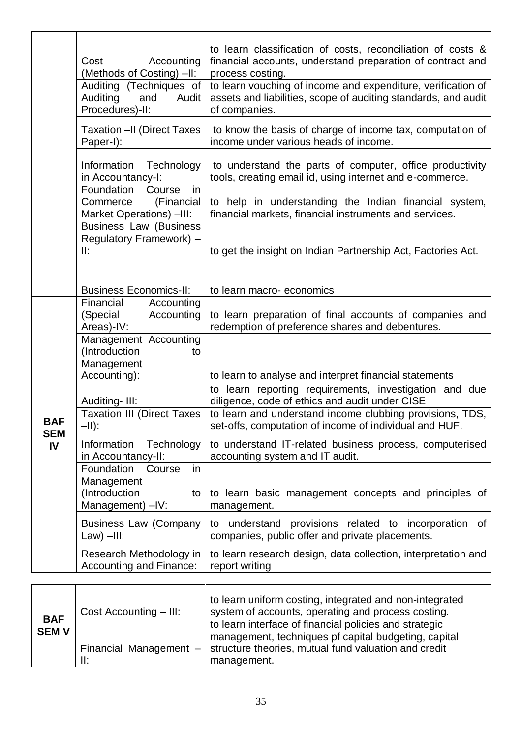|                  | Accounting<br>Cost<br>(Methods of Costing) -II:<br>Auditing (Techniques of<br>Auditing<br>Audit<br>and<br>Procedures)-II:<br><b>Taxation - II (Direct Taxes</b><br>Paper-I): | to learn classification of costs, reconciliation of costs &<br>financial accounts, understand preparation of contract and<br>process costing.<br>to learn vouching of income and expenditure, verification of<br>assets and liabilities, scope of auditing standards, and audit<br>of companies.<br>to know the basis of charge of income tax, computation of<br>income under various heads of income. |
|------------------|------------------------------------------------------------------------------------------------------------------------------------------------------------------------------|--------------------------------------------------------------------------------------------------------------------------------------------------------------------------------------------------------------------------------------------------------------------------------------------------------------------------------------------------------------------------------------------------------|
|                  | Information<br>Technology<br>in Accountancy-I:<br>Foundation<br>in<br>Course<br>(Financial<br>Commerce                                                                       | to understand the parts of computer, office productivity<br>tools, creating email id, using internet and e-commerce.<br>to help in understanding the Indian financial system,                                                                                                                                                                                                                          |
|                  | Market Operations) -III:<br><b>Business Law (Business</b><br>Regulatory Framework) -<br>II:                                                                                  | financial markets, financial instruments and services.<br>to get the insight on Indian Partnership Act, Factories Act.                                                                                                                                                                                                                                                                                 |
|                  | <b>Business Economics-II:</b>                                                                                                                                                | to learn macro-economics                                                                                                                                                                                                                                                                                                                                                                               |
|                  | Financial<br>Accounting<br>(Special<br>Accounting<br>Areas)-IV:                                                                                                              | to learn preparation of final accounts of companies and<br>redemption of preference shares and debentures.                                                                                                                                                                                                                                                                                             |
|                  | Management Accounting<br>(Introduction<br>to<br>Management<br>Accounting):                                                                                                   | to learn to analyse and interpret financial statements                                                                                                                                                                                                                                                                                                                                                 |
| <b>BAF</b>       | Auditing-III:<br><b>Taxation III (Direct Taxes</b><br>-II):                                                                                                                  | to learn reporting requirements, investigation and due<br>diligence, code of ethics and audit under CISE<br>to learn and understand income clubbing provisions, TDS,<br>set-offs, computation of income of individual and HUF.                                                                                                                                                                         |
| <b>SEM</b><br>IV | Information<br>Technology<br>in Accountancy-II:<br>Foundation<br>Course                                                                                                      | to understand IT-related business process, computerised<br>accounting system and IT audit.                                                                                                                                                                                                                                                                                                             |
|                  | in<br>Management<br>(Introduction<br>to<br>Management) -IV:                                                                                                                  | to learn basic management concepts and principles of<br>management.                                                                                                                                                                                                                                                                                                                                    |
|                  | <b>Business Law (Company</b><br>$Law) - III:$                                                                                                                                | provisions related to incorporation of<br>understand<br>to<br>companies, public offer and private placements.                                                                                                                                                                                                                                                                                          |
|                  | Research Methodology in<br>Accounting and Finance:                                                                                                                           | to learn research design, data collection, interpretation and<br>report writing                                                                                                                                                                                                                                                                                                                        |
|                  |                                                                                                                                                                              |                                                                                                                                                                                                                                                                                                                                                                                                        |

|                            | Cost Accounting - III:        | to learn uniform costing, integrated and non-integrated<br>system of accounts, operating and process costing.  |
|----------------------------|-------------------------------|----------------------------------------------------------------------------------------------------------------|
| <b>BAF</b><br><b>SEM V</b> |                               | to learn interface of financial policies and strategic<br>management, techniques pf capital budgeting, capital |
|                            | Financial Management -<br>II: | structure theories, mutual fund valuation and credit<br>management.                                            |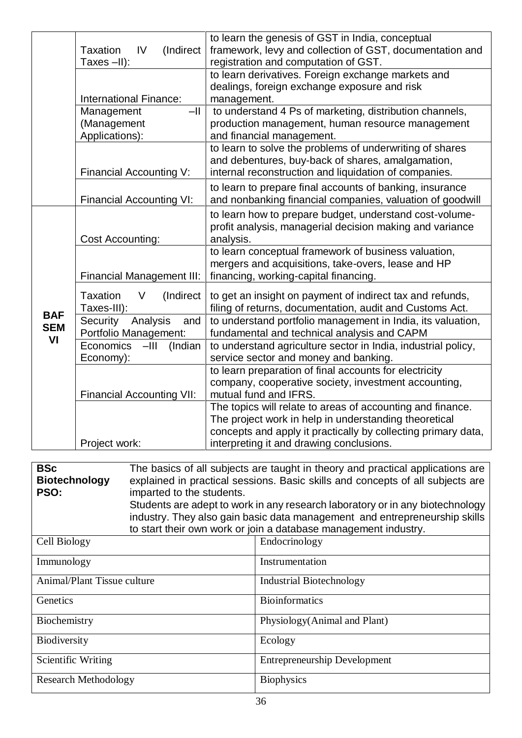|                                | (Indirect<br><b>Taxation</b><br>IV<br>Taxes-II):      | to learn the genesis of GST in India, conceptual<br>framework, levy and collection of GST, documentation and<br>registration and computation of GST.                                                                             |
|--------------------------------|-------------------------------------------------------|----------------------------------------------------------------------------------------------------------------------------------------------------------------------------------------------------------------------------------|
|                                | International Finance:                                | to learn derivatives. Foreign exchange markets and<br>dealings, foreign exchange exposure and risk<br>management.                                                                                                                |
|                                | $-$ II<br>Management<br>(Management<br>Applications): | to understand 4 Ps of marketing, distribution channels,<br>production management, human resource management<br>and financial management.                                                                                         |
|                                | Financial Accounting V:                               | to learn to solve the problems of underwriting of shares<br>and debentures, buy-back of shares, amalgamation,<br>internal reconstruction and liquidation of companies.                                                           |
|                                | <b>Financial Accounting VI:</b>                       | to learn to prepare final accounts of banking, insurance<br>and nonbanking financial companies, valuation of goodwill                                                                                                            |
|                                | <b>Cost Accounting:</b>                               | to learn how to prepare budget, understand cost-volume-<br>profit analysis, managerial decision making and variance<br>analysis.                                                                                                 |
| <b>BAF</b><br><b>SEM</b><br>VI | Financial Management III:                             | to learn conceptual framework of business valuation,<br>mergers and acquisitions, take-overs, lease and HP<br>financing, working-capital financing.                                                                              |
|                                | <b>Taxation</b><br>(Indirect<br>V<br>Taxes-III):      | to get an insight on payment of indirect tax and refunds,<br>filing of returns, documentation, audit and Customs Act.                                                                                                            |
|                                | Security<br>Analysis<br>and<br>Portfolio Management:  | to understand portfolio management in India, its valuation,<br>fundamental and technical analysis and CAPM                                                                                                                       |
|                                | Economics<br>$-III$<br>(Indian<br>Economy):           | to understand agriculture sector in India, industrial policy,<br>service sector and money and banking.                                                                                                                           |
|                                | <b>Financial Accounting VII:</b>                      | to learn preparation of final accounts for electricity<br>company, cooperative society, investment accounting,<br>mutual fund and IFRS.                                                                                          |
|                                | Project work:                                         | The topics will relate to areas of accounting and finance.<br>The project work in help in understanding theoretical<br>concepts and apply it practically by collecting primary data,<br>interpreting it and drawing conclusions. |
|                                |                                                       |                                                                                                                                                                                                                                  |
| <b>BSc</b>                     |                                                       | The basics of all subjects are taught in theory and practical applications are                                                                                                                                                   |
| <b>Biotechnology</b>           |                                                       | explained in practical sessions. Basic skills and concepts of all subjects are                                                                                                                                                   |
| PSO:                           | imparted to the students.                             | Students are adept to work in any research laboratory or in any biotechnology                                                                                                                                                    |
|                                |                                                       | industry. They also gain basic data management and entrepreneurship skills                                                                                                                                                       |
|                                |                                                       | to start their own work or join a database management industry.                                                                                                                                                                  |

| Cell Biology                | Endocrinology                       |
|-----------------------------|-------------------------------------|
| Immunology                  | Instrumentation                     |
| Animal/Plant Tissue culture | <b>Industrial Biotechnology</b>     |
| Genetics                    | <b>Bioinformatics</b>               |
| Biochemistry                | Physiology (Animal and Plant)       |
| Biodiversity                | Ecology                             |
| Scientific Writing          | <b>Entrepreneurship Development</b> |
| <b>Research Methodology</b> | <b>Biophysics</b>                   |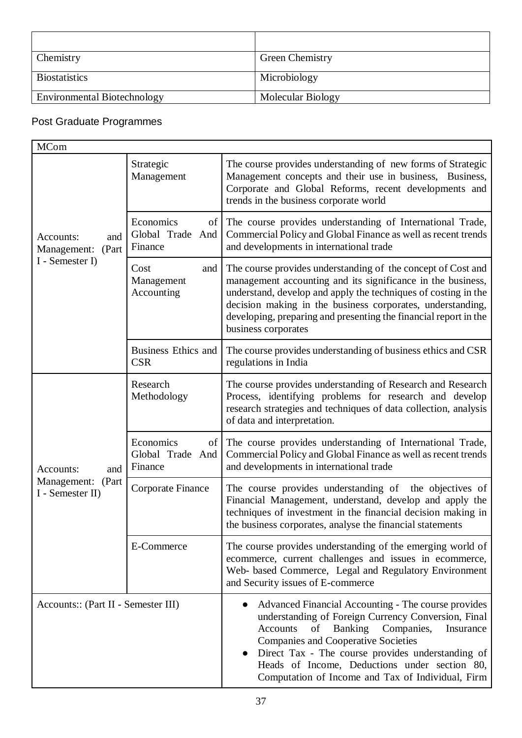| Chemistry                          | <b>Green Chemistry</b> |
|------------------------------------|------------------------|
| <b>Biostatistics</b>               | Microbiology           |
| <b>Environmental Biotechnology</b> | Molecular Biology      |

### Post Graduate Programmes

| <b>MCom</b>                                                  |                                                  |                                                                                                                                                                                                                                                                                                                                                                          |
|--------------------------------------------------------------|--------------------------------------------------|--------------------------------------------------------------------------------------------------------------------------------------------------------------------------------------------------------------------------------------------------------------------------------------------------------------------------------------------------------------------------|
|                                                              | Strategic<br>Management                          | The course provides understanding of new forms of Strategic<br>Management concepts and their use in business, Business,<br>Corporate and Global Reforms, recent developments and<br>trends in the business corporate world                                                                                                                                               |
| Accounts:<br>and<br>(Part<br>Management:                     | Economics<br>Global Trade And<br>Finance         | of The course provides understanding of International Trade,<br>Commercial Policy and Global Finance as well as recent trends<br>and developments in international trade                                                                                                                                                                                                 |
| I - Semester I)                                              | Cost<br>and  <br>Management<br>Accounting        | The course provides understanding of the concept of Cost and<br>management accounting and its significance in the business,<br>understand, develop and apply the techniques of costing in the<br>decision making in the business corporates, understanding,<br>developing, preparing and presenting the financial report in the<br>business corporates                   |
|                                                              | <b>Business Ethics and</b><br><b>CSR</b>         | The course provides understanding of business ethics and CSR<br>regulations in India                                                                                                                                                                                                                                                                                     |
|                                                              | Research<br>Methodology                          | The course provides understanding of Research and Research<br>Process, identifying problems for research and develop<br>research strategies and techniques of data collection, analysis<br>of data and interpretation.                                                                                                                                                   |
| Accounts:<br>and<br>Management:<br>(Part<br>I - Semester II) | Economics<br>of  <br>Global Trade And<br>Finance | The course provides understanding of International Trade,<br>Commercial Policy and Global Finance as well as recent trends<br>and developments in international trade                                                                                                                                                                                                    |
|                                                              | Corporate Finance                                | The course provides understanding of the objectives of<br>Financial Management, understand, develop and apply the<br>techniques of investment in the financial decision making in<br>the business corporates, analyse the financial statements                                                                                                                           |
|                                                              | E-Commerce                                       | The course provides understanding of the emerging world of<br>ecommerce, current challenges and issues in ecommerce,<br>Web- based Commerce, Legal and Regulatory Environment<br>and Security issues of E-commerce                                                                                                                                                       |
| Accounts:: (Part II - Semester III)                          |                                                  | Advanced Financial Accounting - The course provides<br>understanding of Foreign Currency Conversion, Final<br>Banking Companies,<br>of<br>Accounts<br>Insurance<br><b>Companies and Cooperative Societies</b><br>Direct Tax - The course provides understanding of<br>Heads of Income, Deductions under section 80,<br>Computation of Income and Tax of Individual, Firm |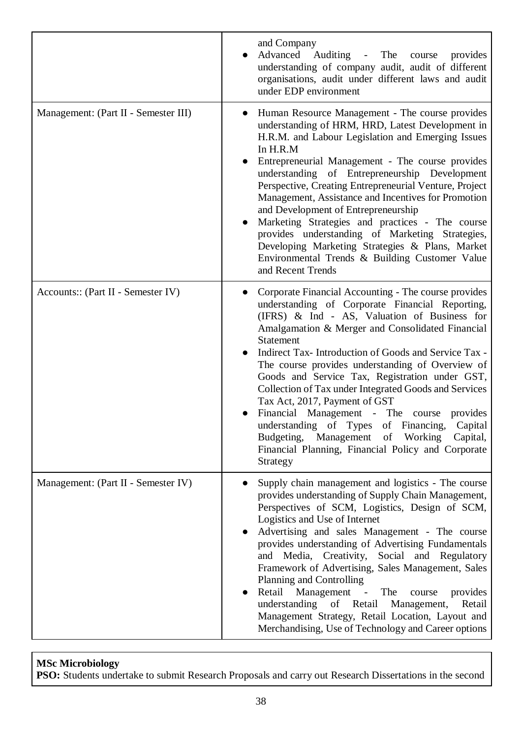|                                      | and Company<br>Advanced Auditing - The<br>provides<br>course<br>understanding of company audit, audit of different<br>organisations, audit under different laws and audit<br>under EDP environment                                                                                                                                                                                                                                                                                                                                                                                                                                                                                                       |
|--------------------------------------|----------------------------------------------------------------------------------------------------------------------------------------------------------------------------------------------------------------------------------------------------------------------------------------------------------------------------------------------------------------------------------------------------------------------------------------------------------------------------------------------------------------------------------------------------------------------------------------------------------------------------------------------------------------------------------------------------------|
| Management: (Part II - Semester III) | Human Resource Management - The course provides<br>$\bullet$<br>understanding of HRM, HRD, Latest Development in<br>H.R.M. and Labour Legislation and Emerging Issues<br>In H.R.M<br>Entrepreneurial Management - The course provides<br>$\bullet$<br>understanding of Entrepreneurship Development<br>Perspective, Creating Entrepreneurial Venture, Project<br>Management, Assistance and Incentives for Promotion<br>and Development of Entrepreneurship<br>Marketing Strategies and practices - The course<br>$\bullet$<br>provides understanding of Marketing Strategies,<br>Developing Marketing Strategies & Plans, Market<br>Environmental Trends & Building Customer Value<br>and Recent Trends |
| Accounts:: (Part II - Semester IV)   | Corporate Financial Accounting - The course provides<br>understanding of Corporate Financial Reporting,<br>(IFRS) & Ind - AS, Valuation of Business for<br>Amalgamation & Merger and Consolidated Financial<br><b>Statement</b><br>Indirect Tax-Introduction of Goods and Service Tax -<br>The course provides understanding of Overview of<br>Goods and Service Tax, Registration under GST,<br>Collection of Tax under Integrated Goods and Services<br>Tax Act, 2017, Payment of GST<br>Financial Management - The course provides<br>understanding of Types of Financing, Capital<br>Budgeting, Management of Working<br>Capital,<br>Financial Planning, Financial Policy and Corporate<br>Strategy  |
| Management: (Part II - Semester IV)  | Supply chain management and logistics - The course<br>provides understanding of Supply Chain Management,<br>Perspectives of SCM, Logistics, Design of SCM,<br>Logistics and Use of Internet<br>Advertising and sales Management - The course<br>provides understanding of Advertising Fundamentals<br>and Media, Creativity, Social and Regulatory<br>Framework of Advertising, Sales Management, Sales<br>Planning and Controlling<br>Retail Management -<br>The<br>provides<br>course<br>understanding of Retail Management,<br>Retail<br>Management Strategy, Retail Location, Layout and<br>Merchandising, Use of Technology and Career options                                                      |

### **MSc Microbiology**

**PSO:** Students undertake to submit Research Proposals and carry out Research Dissertations in the second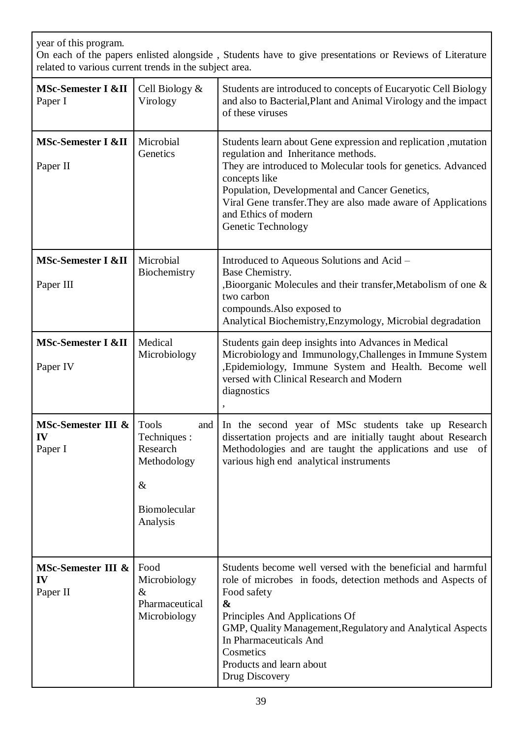| year of this program.<br>On each of the papers enlisted alongside, Students have to give presentations or Reviews of Literature<br>related to various current trends in the subject area. |                                                                             |                                                                                                                                                                                                                                                                                                                                                           |  |
|-------------------------------------------------------------------------------------------------------------------------------------------------------------------------------------------|-----------------------------------------------------------------------------|-----------------------------------------------------------------------------------------------------------------------------------------------------------------------------------------------------------------------------------------------------------------------------------------------------------------------------------------------------------|--|
| <b>MSc-Semester I &amp;II</b><br>Paper I                                                                                                                                                  | Cell Biology $\&$<br>Virology                                               | Students are introduced to concepts of Eucaryotic Cell Biology<br>and also to Bacterial, Plant and Animal Virology and the impact<br>of these viruses                                                                                                                                                                                                     |  |
| <b>MSc-Semester I &amp;II</b><br>Paper II                                                                                                                                                 | Microbial<br>Genetics                                                       | Students learn about Gene expression and replication , mutation<br>regulation and Inheritance methods.<br>They are introduced to Molecular tools for genetics. Advanced<br>concepts like<br>Population, Developmental and Cancer Genetics,<br>Viral Gene transfer. They are also made aware of Applications<br>and Ethics of modern<br>Genetic Technology |  |
| <b>MSc-Semester I &amp;II</b><br>Paper III                                                                                                                                                | Microbial<br>Biochemistry                                                   | Introduced to Aqueous Solutions and Acid –<br>Base Chemistry.<br>Bioorganic Molecules and their transfer, Metabolism of one &<br>two carbon<br>compounds. Also exposed to<br>Analytical Biochemistry, Enzymology, Microbial degradation                                                                                                                   |  |
| <b>MSc-Semester I &amp;II</b><br>Paper IV                                                                                                                                                 | Medical<br>Microbiology                                                     | Students gain deep insights into Advances in Medical<br>Microbiology and Immunology, Challenges in Immune System<br>, Epidemiology, Immune System and Health. Become well<br>versed with Clinical Research and Modern<br>diagnostics                                                                                                                      |  |
| MSc-Semester III & Tools<br>IV<br>Paper I                                                                                                                                                 | Techniques :<br>Research<br>Methodology<br>$\&$<br>Biomolecular<br>Analysis | and In the second year of MSc students take up Research<br>dissertation projects and are initially taught about Research<br>Methodologies and are taught the applications and use of<br>various high end analytical instruments                                                                                                                           |  |
| MSc-Semester III &<br>IV<br>Paper II                                                                                                                                                      | Food<br>Microbiology<br>&<br>Pharmaceutical<br>Microbiology                 | Students become well versed with the beneficial and harmful<br>role of microbes in foods, detection methods and Aspects of<br>Food safety<br>&<br>Principles And Applications Of<br>GMP, Quality Management, Regulatory and Analytical Aspects<br>In Pharmaceuticals And<br>Cosmetics<br>Products and learn about<br>Drug Discovery                       |  |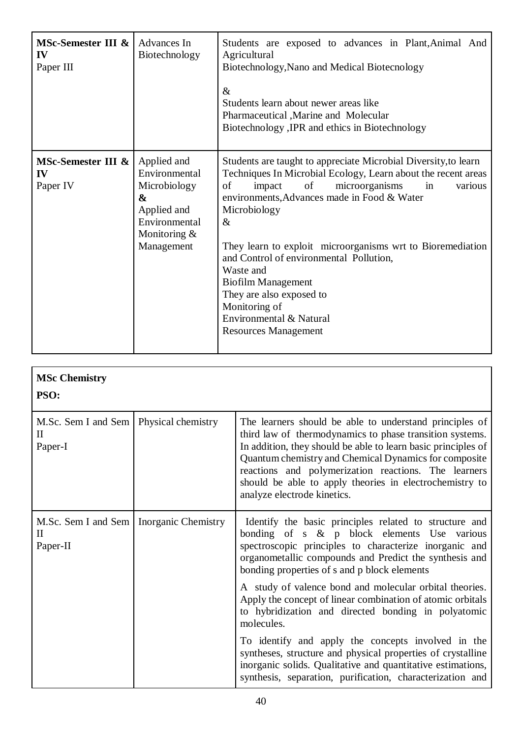| MSc-Semester III &<br>IV<br>Paper III | Advances In<br>Biotechnology                                                                                      | Students are exposed to advances in Plant, Animal And<br>Agricultural<br>Biotechnology, Nano and Medical Biotecnology<br>$\&$<br>Students learn about newer areas like<br>Pharmaceutical , Marine and Molecular<br>Biotechnology , IPR and ethics in Biotechnology                                                                                                                                                                                                                                                         |
|---------------------------------------|-------------------------------------------------------------------------------------------------------------------|----------------------------------------------------------------------------------------------------------------------------------------------------------------------------------------------------------------------------------------------------------------------------------------------------------------------------------------------------------------------------------------------------------------------------------------------------------------------------------------------------------------------------|
| MSc-Semester III &<br>IV<br>Paper IV  | Applied and<br>Environmental<br>Microbiology<br>&<br>Applied and<br>Environmental<br>Monitoring $&$<br>Management | Students are taught to appreciate Microbial Diversity, to learn<br>Techniques In Microbial Ecology, Learn about the recent areas<br>of<br>microorganisms<br>of<br>impact<br>in<br>various<br>environments, Advances made in Food & Water<br>Microbiology<br>$\&$<br>They learn to exploit microorganisms wrt to Bioremediation<br>and Control of environmental Pollution,<br>Waste and<br><b>Biofilm Management</b><br>They are also exposed to<br>Monitoring of<br>Environmental & Natural<br><b>Resources Management</b> |

| <b>MSc Chemistry</b><br>PSO:                                          |                                                                                                                                                                                                                                                                                                                                                                                                 |
|-----------------------------------------------------------------------|-------------------------------------------------------------------------------------------------------------------------------------------------------------------------------------------------------------------------------------------------------------------------------------------------------------------------------------------------------------------------------------------------|
| M.Sc. Sem I and Sem   Physical chemistry<br>$\rm II$<br>Paper-I       | The learners should be able to understand principles of<br>third law of thermodynamics to phase transition systems.<br>In addition, they should be able to learn basic principles of<br>Quantum chemistry and Chemical Dynamics for composite<br>reactions and polymerization reactions. The learners<br>should be able to apply theories in electrochemistry to<br>analyze electrode kinetics. |
| M.Sc. Sem I and Sem   Inorganic Chemistry<br>$\mathbf{I}$<br>Paper-II | Identify the basic principles related to structure and<br>bonding of $s \& p$ block elements Use various<br>spectroscopic principles to characterize inorganic and<br>organometallic compounds and Predict the synthesis and<br>bonding properties of s and p block elements                                                                                                                    |
|                                                                       | A study of valence bond and molecular orbital theories.<br>Apply the concept of linear combination of atomic orbitals<br>to hybridization and directed bonding in polyatomic<br>molecules.                                                                                                                                                                                                      |
|                                                                       | To identify and apply the concepts involved in the<br>syntheses, structure and physical properties of crystalline<br>inorganic solids. Qualitative and quantitative estimations,<br>synthesis, separation, purification, characterization and                                                                                                                                                   |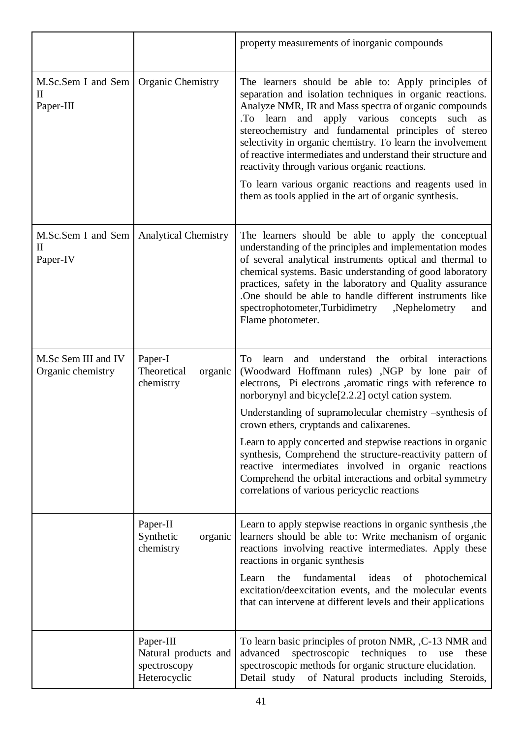|                                                 |                                                                   | property measurements of inorganic compounds                                                                                                                                                                                                                                                                                                                                                                                                                                                                                                                                                                                                            |
|-------------------------------------------------|-------------------------------------------------------------------|---------------------------------------------------------------------------------------------------------------------------------------------------------------------------------------------------------------------------------------------------------------------------------------------------------------------------------------------------------------------------------------------------------------------------------------------------------------------------------------------------------------------------------------------------------------------------------------------------------------------------------------------------------|
| M.Sc.Sem I and Sem<br>$\mathbf{I}$<br>Paper-III | <b>Organic Chemistry</b>                                          | The learners should be able to: Apply principles of<br>separation and isolation techniques in organic reactions.<br>Analyze NMR, IR and Mass spectra of organic compounds<br>.To learn and apply various concepts<br>such<br>as<br>stereochemistry and fundamental principles of stereo<br>selectivity in organic chemistry. To learn the involvement<br>of reactive intermediates and understand their structure and<br>reactivity through various organic reactions.<br>To learn various organic reactions and reagents used in<br>them as tools applied in the art of organic synthesis.                                                             |
| M.Sc.Sem I and Sem<br>$_{\rm II}$<br>Paper-IV   | <b>Analytical Chemistry</b>                                       | The learners should be able to apply the conceptual<br>understanding of the principles and implementation modes<br>of several analytical instruments optical and thermal to<br>chemical systems. Basic understanding of good laboratory<br>practices, safety in the laboratory and Quality assurance<br>One should be able to handle different instruments like<br>spectrophotometer, Turbidimetry<br>,Nephelometry<br>and<br>Flame photometer.                                                                                                                                                                                                         |
| M.Sc Sem III and IV<br>Organic chemistry        | Paper-I<br>Theoretical<br>organic<br>chemistry                    | understand<br>the orbital<br>To<br>learn<br>and<br>interactions<br>(Woodward Hoffmann rules) ,NGP by lone pair of<br>electrons, Pi electrons , aromatic rings with reference to<br>norborynyl and bicycle <sup>[2.2.2]</sup> octyl cation system.<br>Understanding of supramolecular chemistry -synthesis of<br>crown ethers, cryptands and calixarenes.<br>Learn to apply concerted and stepwise reactions in organic<br>synthesis, Comprehend the structure-reactivity pattern of<br>reactive intermediates involved in organic reactions<br>Comprehend the orbital interactions and orbital symmetry<br>correlations of various pericyclic reactions |
|                                                 | Paper-II<br>Synthetic<br>organic<br>chemistry                     | Learn to apply stepwise reactions in organic synthesis, the<br>learners should be able to: Write mechanism of organic<br>reactions involving reactive intermediates. Apply these<br>reactions in organic synthesis<br>fundamental ideas<br>the<br>$\circ$ of<br>photochemical<br>Learn<br>excitation/deexcitation events, and the molecular events<br>that can intervene at different levels and their applications                                                                                                                                                                                                                                     |
|                                                 | Paper-III<br>Natural products and<br>spectroscopy<br>Heterocyclic | To learn basic principles of proton NMR, , C-13 NMR and<br>spectroscopic techniques<br>advanced<br>to<br>these<br>use<br>spectroscopic methods for organic structure elucidation.<br>of Natural products including Steroids,<br>Detail study                                                                                                                                                                                                                                                                                                                                                                                                            |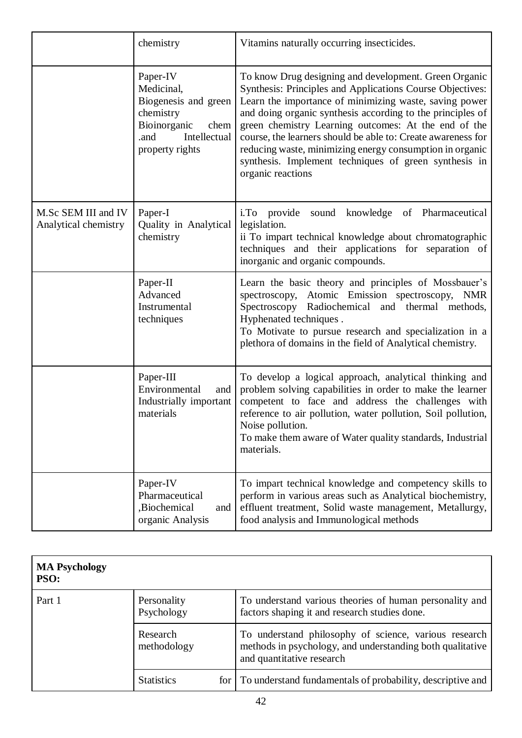|                                             | chemistry                                                                                                                      | Vitamins naturally occurring insecticides.                                                                                                                                                                                                                                                                                                                                                                                                                                                                   |
|---------------------------------------------|--------------------------------------------------------------------------------------------------------------------------------|--------------------------------------------------------------------------------------------------------------------------------------------------------------------------------------------------------------------------------------------------------------------------------------------------------------------------------------------------------------------------------------------------------------------------------------------------------------------------------------------------------------|
|                                             | Paper-IV<br>Medicinal,<br>Biogenesis and green<br>chemistry<br>Bioinorganic<br>chem<br>Intellectual<br>.and<br>property rights | To know Drug designing and development. Green Organic<br>Synthesis: Principles and Applications Course Objectives:<br>Learn the importance of minimizing waste, saving power<br>and doing organic synthesis according to the principles of<br>green chemistry Learning outcomes: At the end of the<br>course, the learners should be able to: Create awareness for<br>reducing waste, minimizing energy consumption in organic<br>synthesis. Implement techniques of green synthesis in<br>organic reactions |
| M.Sc SEM III and IV<br>Analytical chemistry | Paper-I<br>Quality in Analytical<br>chemistry                                                                                  | i.To provide<br>sound knowledge of Pharmaceutical<br>legislation.<br>ii To impart technical knowledge about chromatographic<br>techniques and their applications for separation of<br>inorganic and organic compounds.                                                                                                                                                                                                                                                                                       |
|                                             | Paper-II<br>Advanced<br>Instrumental<br>techniques                                                                             | Learn the basic theory and principles of Mossbauer's<br>spectroscopy, Atomic Emission spectroscopy,<br><b>NMR</b><br>Spectroscopy Radiochemical and thermal methods,<br>Hyphenated techniques.<br>To Motivate to pursue research and specialization in a<br>plethora of domains in the field of Analytical chemistry.                                                                                                                                                                                        |
|                                             | Paper-III<br>Environmental<br>and<br>Industrially important<br>materials                                                       | To develop a logical approach, analytical thinking and<br>problem solving capabilities in order to make the learner<br>competent to face and address the challenges with<br>reference to air pollution, water pollution, Soil pollution,<br>Noise pollution.<br>To make them aware of Water quality standards, Industrial<br>materials.                                                                                                                                                                      |
|                                             | Paper-IV<br>Pharmaceutical<br>,Biochemical<br>and<br>organic Analysis                                                          | To impart technical knowledge and competency skills to<br>perform in various areas such as Analytical biochemistry,<br>effluent treatment, Solid waste management, Metallurgy,<br>food analysis and Immunological methods                                                                                                                                                                                                                                                                                    |

| <b>MA Psychology</b><br>PSO: |                           |                                                                                                                                                 |
|------------------------------|---------------------------|-------------------------------------------------------------------------------------------------------------------------------------------------|
| Part 1                       | Personality<br>Psychology | To understand various theories of human personality and<br>factors shaping it and research studies done.                                        |
|                              | Research<br>methodology   | To understand philosophy of science, various research<br>methods in psychology, and understanding both qualitative<br>and quantitative research |
|                              | <b>Statistics</b>         | for To understand fundamentals of probability, descriptive and                                                                                  |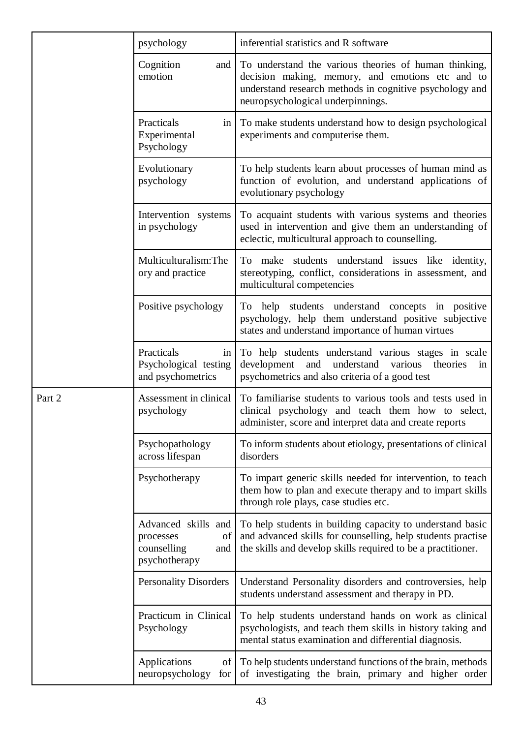|        | psychology                                                                    | inferential statistics and R software                                                                                                                                                                     |
|--------|-------------------------------------------------------------------------------|-----------------------------------------------------------------------------------------------------------------------------------------------------------------------------------------------------------|
|        | Cognition<br>and  <br>emotion                                                 | To understand the various theories of human thinking,<br>decision making, memory, and emotions etc and to<br>understand research methods in cognitive psychology and<br>neuropsychological underpinnings. |
|        | Practicals<br>im<br>Experimental<br>Psychology                                | To make students understand how to design psychological<br>experiments and computerise them.                                                                                                              |
|        | Evolutionary<br>psychology                                                    | To help students learn about processes of human mind as<br>function of evolution, and understand applications of<br>evolutionary psychology                                                               |
|        | Intervention systems<br>in psychology                                         | To acquaint students with various systems and theories<br>used in intervention and give them an understanding of<br>eclectic, multicultural approach to counselling.                                      |
|        | Multiculturalism:The<br>ory and practice                                      | To make students understand issues like identity,<br>stereotyping, conflict, considerations in assessment, and<br>multicultural competencies                                                              |
|        | Positive psychology                                                           | To help students understand concepts in positive<br>psychology, help them understand positive subjective<br>states and understand importance of human virtues                                             |
|        | Practicals<br>in<br>Psychological testing<br>and psychometrics                | To help students understand various stages in scale<br>and<br>understand<br>development<br>various<br>theories<br>in<br>psychometrics and also criteria of a good test                                    |
| Part 2 | Assessment in clinical<br>psychology                                          | To familiarise students to various tools and tests used in<br>clinical psychology and teach them how to select,<br>administer, score and interpret data and create reports                                |
|        | Psychopathology<br>across lifespan                                            | To inform students about etiology, presentations of clinical<br>disorders                                                                                                                                 |
|        | Psychotherapy                                                                 | To impart generic skills needed for intervention, to teach<br>them how to plan and execute therapy and to impart skills<br>through role plays, case studies etc.                                          |
|        | Advanced skills and<br>of<br>processes<br>counselling<br>and<br>psychotherapy | To help students in building capacity to understand basic<br>and advanced skills for counselling, help students practise<br>the skills and develop skills required to be a practitioner.                  |
|        | <b>Personality Disorders</b>                                                  | Understand Personality disorders and controversies, help<br>students understand assessment and therapy in PD.                                                                                             |
|        | Practicum in Clinical<br>Psychology                                           | To help students understand hands on work as clinical<br>psychologists, and teach them skills in history taking and<br>mental status examination and differential diagnosis.                              |
|        | Applications<br>of I<br>neuropsychology<br>for                                | To help students understand functions of the brain, methods<br>of investigating the brain, primary and higher order                                                                                       |